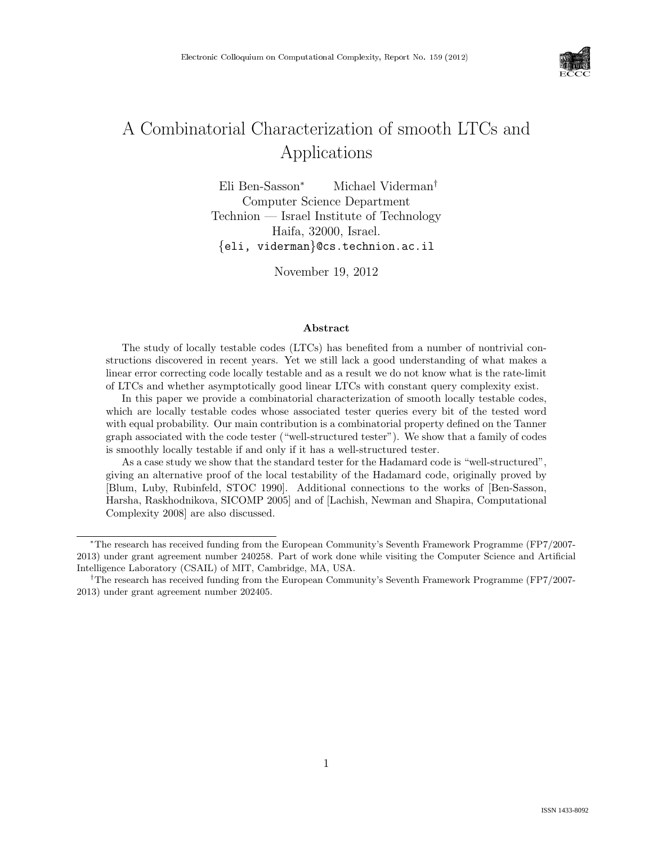

# A Combinatorial Characterization of smooth LTCs and Applications

Eli Ben-Sasson<sup>∗</sup> Michael Viderman† Computer Science Department Technion — Israel Institute of Technology Haifa, 32000, Israel. {eli, viderman}@cs.technion.ac.il

November 19, 2012

#### Abstract

The study of locally testable codes (LTCs) has benefited from a number of nontrivial constructions discovered in recent years. Yet we still lack a good understanding of what makes a linear error correcting code locally testable and as a result we do not know what is the rate-limit of LTCs and whether asymptotically good linear LTCs with constant query complexity exist.

In this paper we provide a combinatorial characterization of smooth locally testable codes, which are locally testable codes whose associated tester queries every bit of the tested word with equal probability. Our main contribution is a combinatorial property defined on the Tanner graph associated with the code tester ("well-structured tester"). We show that a family of codes is smoothly locally testable if and only if it has a well-structured tester.

As a case study we show that the standard tester for the Hadamard code is "well-structured", giving an alternative proof of the local testability of the Hadamard code, originally proved by [Blum, Luby, Rubinfeld, STOC 1990]. Additional connections to the works of [Ben-Sasson, Harsha, Raskhodnikova, SICOMP 2005] and of [Lachish, Newman and Shapira, Computational Complexity 2008] are also discussed.

<sup>∗</sup>The research has received funding from the European Community's Seventh Framework Programme (FP7/2007- 2013) under grant agreement number 240258. Part of work done while visiting the Computer Science and Artificial Intelligence Laboratory (CSAIL) of MIT, Cambridge, MA, USA.

<sup>†</sup>The research has received funding from the European Community's Seventh Framework Programme (FP7/2007- 2013) under grant agreement number 202405.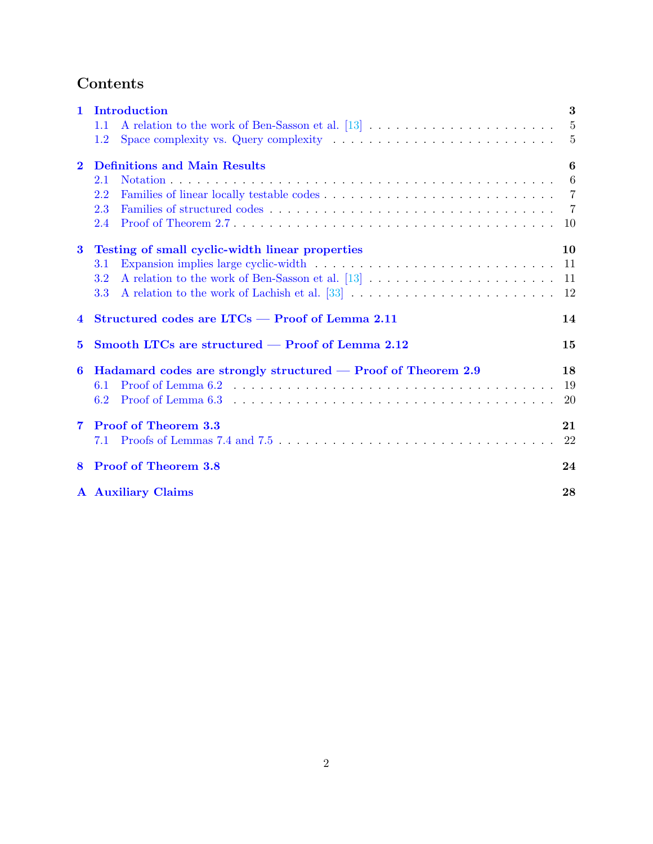# Contents

| $\mathbf{1}$   | Introduction                                                                                         | 3                |  |  |  |  |
|----------------|------------------------------------------------------------------------------------------------------|------------------|--|--|--|--|
|                | 1.1                                                                                                  | $5\phantom{.00}$ |  |  |  |  |
|                | Space complexity vs. Query complexity $\dots \dots \dots \dots \dots \dots \dots \dots \dots$<br>1.2 | $\overline{5}$   |  |  |  |  |
| $\bf{2}$       | <b>Definitions and Main Results</b>                                                                  |                  |  |  |  |  |
|                | 2.1                                                                                                  | 6                |  |  |  |  |
|                | 2.2                                                                                                  |                  |  |  |  |  |
|                | 2.3                                                                                                  |                  |  |  |  |  |
|                | 2.4                                                                                                  | 10               |  |  |  |  |
| $\bf{3}$       | Testing of small cyclic-width linear properties                                                      | 10               |  |  |  |  |
|                | 3.1                                                                                                  | -11              |  |  |  |  |
|                | 3.2                                                                                                  | 11               |  |  |  |  |
|                | 3.3                                                                                                  | 12               |  |  |  |  |
| $\overline{4}$ | Structured codes are $LTCs - Proof$ of Lemma 2.11                                                    |                  |  |  |  |  |
|                | Smooth LTCs are structured — Proof of Lemma 2.12<br>$\bf{5}$                                         |                  |  |  |  |  |
|                |                                                                                                      |                  |  |  |  |  |
| 6              | Hadamard codes are strongly structured — Proof of Theorem 2.9                                        | 18               |  |  |  |  |
|                | 6.1                                                                                                  | 19               |  |  |  |  |
|                | 6.2                                                                                                  | 20               |  |  |  |  |
| $\overline{7}$ | <b>Proof of Theorem 3.3</b>                                                                          | 21               |  |  |  |  |
|                | 7.1                                                                                                  | 22               |  |  |  |  |
| 8              | <b>Proof of Theorem 3.8</b>                                                                          | 24               |  |  |  |  |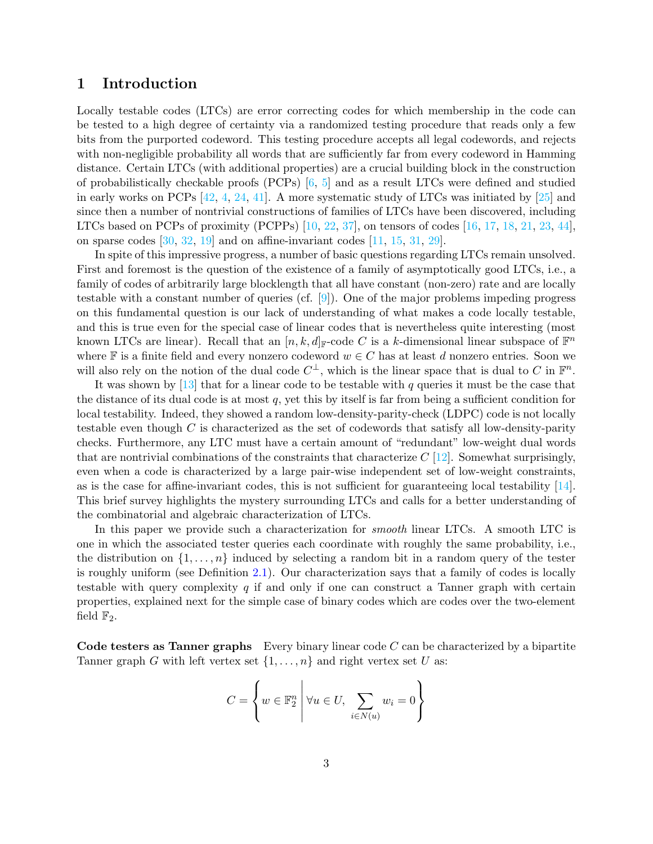# <span id="page-2-0"></span>1 Introduction

Locally testable codes (LTCs) are error correcting codes for which membership in the code can be tested to a high degree of certainty via a randomized testing procedure that reads only a few bits from the purported codeword. This testing procedure accepts all legal codewords, and rejects with non-negligible probability all words that are sufficiently far from every codeword in Hamming distance. Certain LTCs (with additional properties) are a crucial building block in the construction of probabilistically checkable proofs  $(PCPs)$  [\[6,](#page-24-0) [5\]](#page-24-1) and as a result LTCs were defined and studied in early works on PCPs [\[42,](#page-27-1) [4,](#page-24-2) [24,](#page-26-1) [41\]](#page-27-2). A more systematic study of LTCs was initiated by [\[25\]](#page-26-2) and since then a number of nontrivial constructions of families of LTCs have been discovered, including LTCs based on PCPs of proximity (PCPPs)  $[10, 22, 37]$  $[10, 22, 37]$  $[10, 22, 37]$  $[10, 22, 37]$ , on tensors of codes  $[16, 17, 18, 21, 23, 44]$  $[16, 17, 18, 21, 23, 44]$  $[16, 17, 18, 21, 23, 44]$  $[16, 17, 18, 21, 23, 44]$  $[16, 17, 18, 21, 23, 44]$  $[16, 17, 18, 21, 23, 44]$  $[16, 17, 18, 21, 23, 44]$  $[16, 17, 18, 21, 23, 44]$  $[16, 17, 18, 21, 23, 44]$  $[16, 17, 18, 21, 23, 44]$ , on sparse codes  $[30, 32, 19]$  $[30, 32, 19]$  $[30, 32, 19]$  $[30, 32, 19]$  and on affine-invariant codes  $[11, 15, 31, 29]$  $[11, 15, 31, 29]$  $[11, 15, 31, 29]$  $[11, 15, 31, 29]$  $[11, 15, 31, 29]$  $[11, 15, 31, 29]$ .

In spite of this impressive progress, a number of basic questions regarding LTCs remain unsolved. First and foremost is the question of the existence of a family of asymptotically good LTCs, i.e., a family of codes of arbitrarily large blocklength that all have constant (non-zero) rate and are locally testable with a constant number of queries (cf. [\[9\]](#page-24-3)). One of the major problems impeding progress on this fundamental question is our lack of understanding of what makes a code locally testable, and this is true even for the special case of linear codes that is nevertheless quite interesting (most known LTCs are linear). Recall that an  $[n, k, d]_{\mathbb{F}}$ -code C is a k-dimensional linear subspace of  $\mathbb{F}^n$ where F is a finite field and every nonzero codeword  $w \in C$  has at least d nonzero entries. Soon we will also rely on the notion of the dual code  $C^{\perp}$ , which is the linear space that is dual to C in  $\mathbb{F}^n$ .

It was shown by  $[13]$  that for a linear code to be testable with q queries it must be the case that the distance of its dual code is at most q, yet this by itself is far from being a sufficient condition for local testability. Indeed, they showed a random low-density-parity-check (LDPC) code is not locally testable even though  $C$  is characterized as the set of codewords that satisfy all low-density-parity checks. Furthermore, any LTC must have a certain amount of "redundant" low-weight dual words that are nontrivial combinations of the constraints that characterize  $C$  [\[12\]](#page-25-11). Somewhat surprisingly, even when a code is characterized by a large pair-wise independent set of low-weight constraints, as is the case for affine-invariant codes, this is not sufficient for guaranteeing local testability [\[14\]](#page-25-12). This brief survey highlights the mystery surrounding LTCs and calls for a better understanding of the combinatorial and algebraic characterization of LTCs.

In this paper we provide such a characterization for *smooth* linear LTCs. A smooth LTC is one in which the associated tester queries each coordinate with roughly the same probability, i.e., the distribution on  $\{1, \ldots, n\}$  induced by selecting a random bit in a random query of the tester is roughly uniform (see Definition [2.1\)](#page-6-2). Our characterization says that a family of codes is locally testable with query complexity q if and only if one can construct a Tanner graph with certain properties, explained next for the simple case of binary codes which are codes over the two-element field  $\mathbb{F}_2$ .

Code testers as Tanner graphs Every binary linear code  $C$  can be characterized by a bipartite Tanner graph G with left vertex set  $\{1, \ldots, n\}$  and right vertex set U as:

$$
C = \left\{ w \in \mathbb{F}_2^n \middle| \forall u \in U, \sum_{i \in N(u)} w_i = 0 \right\}
$$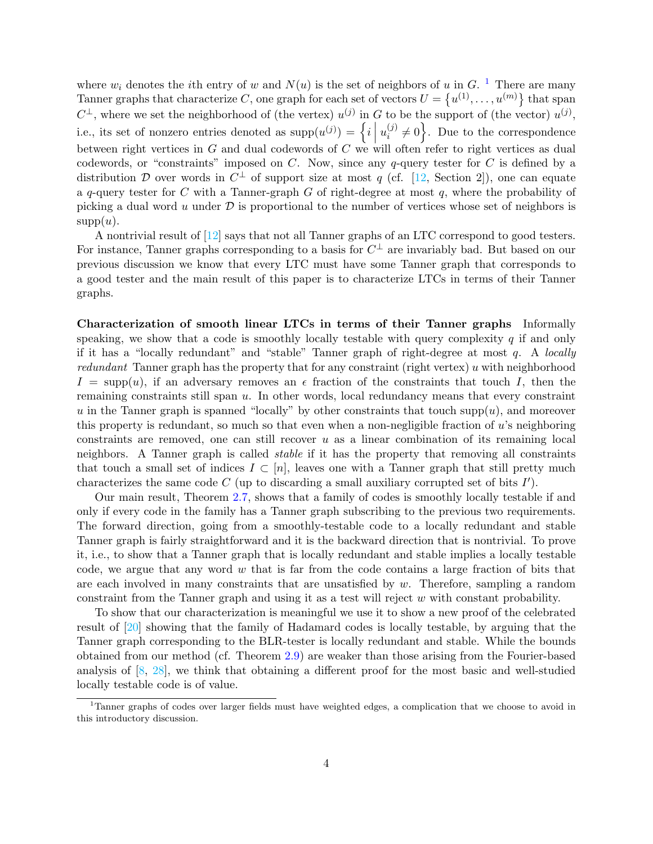where  $w_i$  denotes the *i*th entry of w and  $N(u)$  is the set of neighbors of u in G.<sup>[1](#page-3-0)</sup> There are many Tanner graphs that characterize C, one graph for each set of vectors  $U = \{u^{(1)}, \ldots, u^{(m)}\}$  that span  $C^{\perp}$ , where we set the neighborhood of (the vertex)  $u^{(j)}$  in G to be the support of (the vector)  $u^{(j)}$ , i.e., its set of nonzero entries denoted as  $\text{supp}(u^{(j)}) = \left\{i \mid \text{at least even either } j \in G\right\}$  $u_i^{(j)}$  $\{i,j\neq 0\}$ . Due to the correspondence between right vertices in  $G$  and dual codewords of  $C$  we will often refer to right vertices as dual codewords, or "constraints" imposed on  $C$ . Now, since any q-query tester for  $C$  is defined by a distribution D over words in  $C^{\perp}$  of support size at most q (cf. [\[12,](#page-25-11) Section 2]), one can equate a q-query tester for C with a Tanner-graph G of right-degree at most  $q$ , where the probability of picking a dual word u under  $\mathcal D$  is proportional to the number of vertices whose set of neighbors is  $supp(u)$ .

A nontrivial result of [\[12\]](#page-25-11) says that not all Tanner graphs of an LTC correspond to good testers. For instance, Tanner graphs corresponding to a basis for  $C^{\perp}$  are invariably bad. But based on our previous discussion we know that every LTC must have some Tanner graph that corresponds to a good tester and the main result of this paper is to characterize LTCs in terms of their Tanner graphs.

Characterization of smooth linear LTCs in terms of their Tanner graphs Informally speaking, we show that a code is smoothly locally testable with query complexity  $q$  if and only if it has a "locally redundant" and "stable" Tanner graph of right-degree at most  $q$ . A locally redundant Tanner graph has the property that for any constraint (right vertex) u with neighborhood  $I = \text{supp}(u)$ , if an adversary removes an  $\epsilon$  fraction of the constraints that touch I, then the remaining constraints still span u. In other words, local redundancy means that every constraint u in the Tanner graph is spanned "locally" by other constraints that touch  $supp(u)$ , and moreover this property is redundant, so much so that even when a non-negligible fraction of  $u$ 's neighboring constraints are removed, one can still recover  $u$  as a linear combination of its remaining local neighbors. A Tanner graph is called stable if it has the property that removing all constraints that touch a small set of indices  $I \subset [n]$ , leaves one with a Tanner graph that still pretty much characterizes the same code  $C$  (up to discarding a small auxiliary corrupted set of bits  $I'$ ).

Our main result, Theorem [2.7,](#page-8-0) shows that a family of codes is smoothly locally testable if and only if every code in the family has a Tanner graph subscribing to the previous two requirements. The forward direction, going from a smoothly-testable code to a locally redundant and stable Tanner graph is fairly straightforward and it is the backward direction that is nontrivial. To prove it, i.e., to show that a Tanner graph that is locally redundant and stable implies a locally testable code, we argue that any word  $w$  that is far from the code contains a large fraction of bits that are each involved in many constraints that are unsatisfied by  $w$ . Therefore, sampling a random constraint from the Tanner graph and using it as a test will reject  $w$  with constant probability.

To show that our characterization is meaningful we use it to show a new proof of the celebrated result of [\[20\]](#page-25-13) showing that the family of Hadamard codes is locally testable, by arguing that the Tanner graph corresponding to the BLR-tester is locally redundant and stable. While the bounds obtained from our method (cf. Theorem [2.9\)](#page-8-1) are weaker than those arising from the Fourier-based analysis of  $[8, 28]$  $[8, 28]$ , we think that obtaining a different proof for the most basic and well-studied locally testable code is of value.

<span id="page-3-0"></span><sup>&</sup>lt;sup>1</sup>Tanner graphs of codes over larger fields must have weighted edges, a complication that we choose to avoid in this introductory discussion.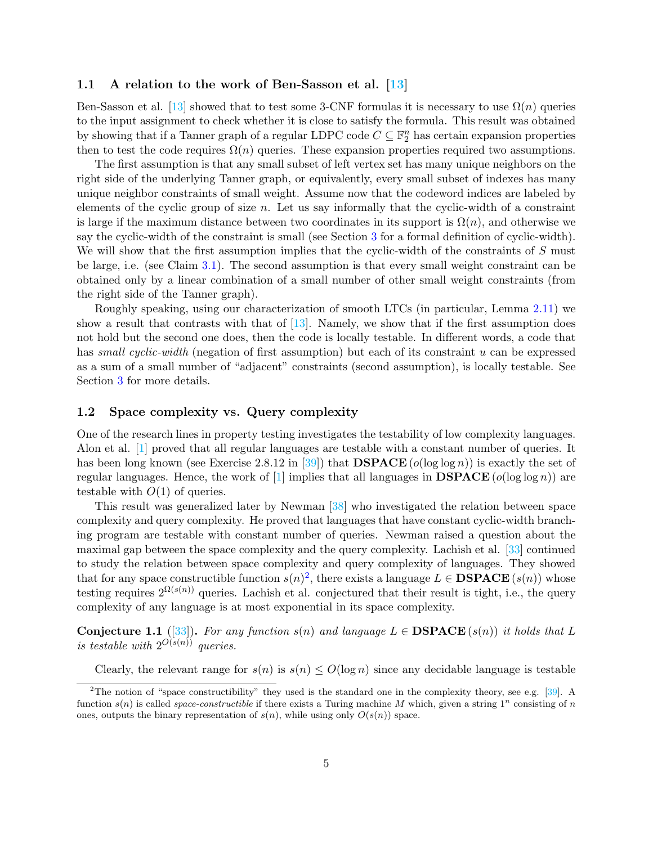#### <span id="page-4-0"></span>1.1 A relation to the work of Ben-Sasson et al.  $\boxed{13}$

Ben-Sasson et al. [\[13\]](#page-25-0) showed that to test some 3-CNF formulas it is necessary to use  $\Omega(n)$  queries to the input assignment to check whether it is close to satisfy the formula. This result was obtained by showing that if a Tanner graph of a regular LDPC code  $C \subseteq \mathbb{F}_2^n$  has certain expansion properties then to test the code requires  $\Omega(n)$  queries. These expansion properties required two assumptions.

The first assumption is that any small subset of left vertex set has many unique neighbors on the right side of the underlying Tanner graph, or equivalently, every small subset of indexes has many unique neighbor constraints of small weight. Assume now that the codeword indices are labeled by elements of the cyclic group of size n. Let us say informally that the cyclic-width of a constraint is large if the maximum distance between two coordinates in its support is  $\Omega(n)$ , and otherwise we say the cyclic-width of the constraint is small (see Section [3](#page-9-1) for a formal definition of cyclic-width). We will show that the first assumption implies that the cyclic-width of the constraints of S must be large, i.e. (see Claim [3.1\)](#page-10-2). The second assumption is that every small weight constraint can be obtained only by a linear combination of a small number of other small weight constraints (from the right side of the Tanner graph).

Roughly speaking, using our characterization of smooth LTCs (in particular, Lemma 2.11) we show a result that contrasts with that of  $[13]$ . Namely, we show that if the first assumption does not hold but the second one does, then the code is locally testable. In different words, a code that has *small cyclic-width* (negation of first assumption) but each of its constraint u can be expressed as a sum of a small number of "adjacent" constraints (second assumption), is locally testable. See Section [3](#page-9-1) for more details.

#### <span id="page-4-1"></span>1.2 Space complexity vs. Query complexity

One of the research lines in property testing investigates the testability of low complexity languages. Alon et al. [\[1\]](#page-24-5) proved that all regular languages are testable with a constant number of queries. It has been long known (see Exercise 2.8.12 in [\[39\]](#page-27-4)) that  $\mathbf{DSPACE}(o(\log \log n))$  is exactly the set of regular languages. Hence, the work of [\[1\]](#page-24-5) implies that all languages in **DSPACE** ( $o(\log \log n)$ ) are testable with  $O(1)$  of queries.

This result was generalized later by Newman [\[38\]](#page-26-9) who investigated the relation between space complexity and query complexity. He proved that languages that have constant cyclic-width branching program are testable with constant number of queries. Newman raised a question about the maximal gap between the space complexity and the query complexity. Lachish et al. [\[33\]](#page-26-0) continued to study the relation between space complexity and query complexity of languages. They showed that for any space constructible function  $s(n)^2$  $s(n)^2$ , there exists a language  $L \in \mathbf{DSPACE}(s(n))$  whose testing requires  $2^{\Omega(s(n))}$  queries. Lachish et al. conjectured that their result is tight, i.e., the query complexity of any language is at most exponential in its space complexity.

<span id="page-4-3"></span>Conjecture 1.1 ([\[33\]](#page-26-0)). For any function  $s(n)$  and language  $L \in \mathbf{DSPACE}(s(n))$  it holds that L is testable with  $2^{O(s(n))}$  queries.

Clearly, the relevant range for  $s(n)$  is  $s(n) \leq O(\log n)$  since any decidable language is testable

<span id="page-4-2"></span><sup>&</sup>lt;sup>2</sup>The notion of "space constructibility" they used is the standard one in the complexity theory, see e.g.  $[39]$ . A function  $s(n)$  is called *space-constructible* if there exists a Turing machine M which, given a string  $1^n$  consisting of n ones, outputs the binary representation of  $s(n)$ , while using only  $O(s(n))$  space.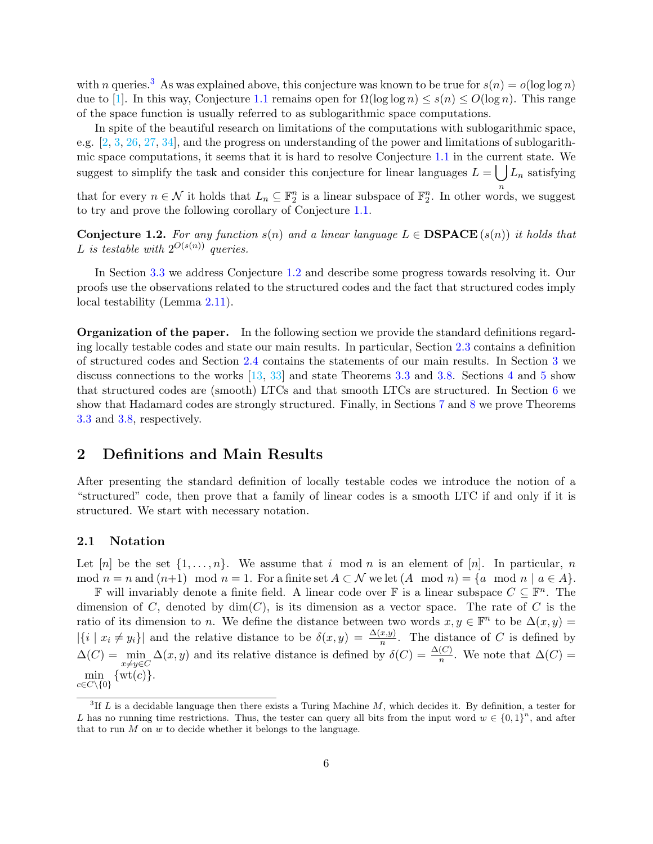with n queries.<sup>[3](#page-5-2)</sup> As was explained above, this conjecture was known to be true for  $s(n) = o(\log \log n)$ due to [\[1\]](#page-24-5). In this way, Conjecture [1.1](#page-4-3) remains open for  $\Omega(\log \log n) \leq s(n) \leq O(\log n)$ . This range of the space function is usually referred to as sublogarithmic space computations.

In spite of the beautiful research on limitations of the computations with sublogarithmic space, e.g. [\[2,](#page-24-6) [3,](#page-24-7) [26,](#page-26-10) [27,](#page-26-11) [34\]](#page-26-12), and the progress on understanding of the power and limitations of sublogarithmic space computations, it seems that it is hard to resolve Conjecture [1.1](#page-4-3) in the current state. We suggest to simplify the task and consider this conjecture for linear languages  $L = \int L_n$  satisfying

that for every  $n \in \mathcal{N}$  it holds that  $L_n \subseteq \mathbb{F}_2^n$  is a linear subspace of  $\mathbb{F}_2^n$ . In other words, we suggest to try and prove the following corollary of Conjecture [1.1.](#page-4-3)

<span id="page-5-3"></span>**Conjecture 1.2.** For any function  $s(n)$  and a linear language  $L \in \mathbf{DSPACE}(s(n))$  it holds that L is testable with  $2^{O(s(n))}$  queries.

In Section [3.3](#page-11-0) we address Conjecture [1.2](#page-5-3) and describe some progress towards resolving it. Our proofs use the observations related to the structured codes and the fact that structured codes imply local testability (Lemma 2.11).

Organization of the paper. In the following section we provide the standard definitions regarding locally testable codes and state our main results. In particular, Section [2.3](#page-6-1) contains a definition of structured codes and Section [2.4](#page-9-0) contains the statements of our main results. In Section [3](#page-9-1) we discuss connections to the works [\[13,](#page-25-0) [33\]](#page-26-0) and state Theorems [3.3](#page-11-1) and [3.8.](#page-12-0) Sections [4](#page-13-0) and [5](#page-14-0) show that structured codes are (smooth) LTCs and that smooth LTCs are structured. In Section [6](#page-17-0) we show that Hadamard codes are strongly structured. Finally, in Sections [7](#page-20-0) and [8](#page-23-0) we prove Theorems [3.3](#page-11-1) and [3.8,](#page-12-0) respectively.

# <span id="page-5-0"></span>2 Definitions and Main Results

After presenting the standard definition of locally testable codes we introduce the notion of a "structured" code, then prove that a family of linear codes is a smooth LTC if and only if it is structured. We start with necessary notation.

#### <span id="page-5-1"></span>2.1 Notation

Let [n] be the set  $\{1, \ldots, n\}$ . We assume that i mod n is an element of [n]. In particular, n mod  $n = n$  and  $(n+1) \mod n = 1$ . For a finite set  $A \subset \mathcal{N}$  we let  $(A \mod n) = \{a \mod n \mid a \in A\}$ .

**F** will invariably denote a finite field. A linear code over **F** is a linear subspace  $C \subseteq \mathbb{F}^n$ . The dimension of C, denoted by  $\dim(C)$ , is its dimension as a vector space. The rate of C is the ratio of its dimension to n. We define the distance between two words  $x, y \in \mathbb{F}^n$  to be  $\Delta(x, y) =$  $|\{i \mid x_i \neq y_i\}|$  and the relative distance to be  $\delta(x, y) = \frac{\Delta(x, y)}{n}$ . The distance of C is defined by  $\Delta(C) = \min_{x \neq y \in C} \Delta(x, y)$  and its relative distance is defined by  $\delta(C) = \frac{\Delta(C)}{n}$ . We note that  $\Delta(C) =$  $x \neq y \in C$  $\min_{c \in C \setminus \{0\}} \{ \operatorname{wt}(c) \}.$ 

<span id="page-5-2"></span> ${}^{3}$ If L is a decidable language then there exists a Turing Machine M, which decides it. By definition, a tester for L has no running time restrictions. Thus, the tester can query all bits from the input word  $w \in \{0,1\}^n$ , and after that to run  $M$  on  $w$  to decide whether it belongs to the language.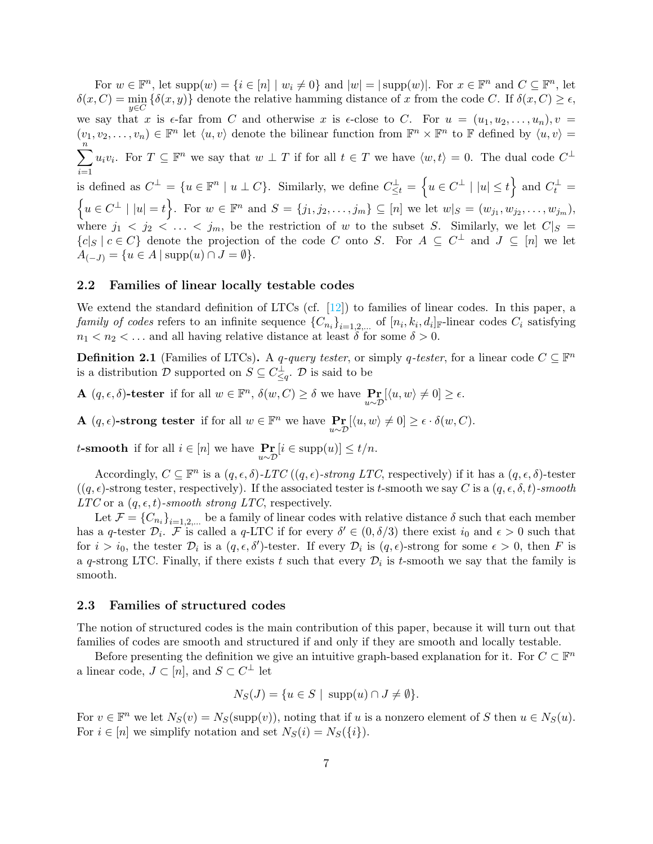For  $w \in \mathbb{F}^n$ , let  $\text{supp}(w) = \{i \in [n] \mid w_i \neq 0\}$  and  $|w| = |\text{supp}(w)|$ . For  $x \in \mathbb{F}^n$  and  $C \subseteq \mathbb{F}^n$ , let  $\delta(x, C) = \min_{y \in C} {\{\delta(x, y)\}}$  denote the relative hamming distance of x from the code C. If  $\delta(x, C) \ge \epsilon$ , we say that x is  $\epsilon$ -far from C and otherwise x is  $\epsilon$ -close to C. For  $u = (u_1, u_2, \ldots, u_n), v =$  $(v_1, v_2, \ldots, v_n) \in \mathbb{F}^n$  let  $\langle u, v \rangle$  denote the bilinear function from  $\mathbb{F}^n \times \mathbb{F}^n$  to  $\mathbb{F}$  defined by  $\langle u, v \rangle =$  $\sum_{i=1}^{n} u_i v_i$ . For  $T \subseteq \mathbb{F}^n$  we say that  $w \perp T$  if for all  $t \in T$  we have  $\langle w, t \rangle = 0$ . The dual code  $C^{\perp}$  $i=1$ is defined as  $C^{\perp} = \{u \in \mathbb{F}^n \mid u \perp C\}$ . Similarly, we define  $C_{\leq t}^{\perp} = \{u \in C^{\perp} \mid |u| \leq t\}$  and  $C_t^{\perp} =$  $\{u \in C^{\perp} \mid |u|=t\}.$  For  $w \in \mathbb{F}^n$  and  $S = \{j_1, j_2, \ldots, j_m\} \subseteq [n]$  we let  $w|_S = (w_{j_1}, w_{j_2}, \ldots, w_{j_m}),$ where  $j_1 \leq j_2 \leq \ldots \leq j_m$ , be the restriction of w to the subset S. Similarly, we let  $C|_S =$  ${c|S \mid c \in C}$  denote the projection of the code C onto S. For  $A \subseteq C^{\perp}$  and  $J \subseteq [n]$  we let  $A_{(-J)} = \{u \in A \mid \text{supp}(u) \cap J = \emptyset\}.$ 

#### <span id="page-6-0"></span>2.2 Families of linear locally testable codes

We extend the standard definition of LTCs (cf.  $[12]$ ) to families of linear codes. In this paper, a family of codes refers to an infinite sequence  $\{C_{n_i}\}_{i=1,2,...}$  of  $[n_i, k_i, d_i]_{\mathbb{F}}$ -linear codes  $C_i$  satisfying  $n_1 < n_2 < \dots$  and all having relative distance at least  $\delta$  for some  $\delta > 0$ .

<span id="page-6-2"></span>**Definition 2.1** (Families of LTCs). A q-query tester, or simply q-tester, for a linear code  $C \subseteq \mathbb{F}^n$ is a distribution D supported on  $S \subseteq C_{\leq q}^{\perp}$ . D is said to be

**A**  $(q, \epsilon, \delta)$ -tester if for all  $w \in \mathbb{F}^n$ ,  $\delta(w, C) \ge \delta$  we have  $\mathbb{P}_{u \sim \mathcal{D}}[\langle u, w \rangle \neq 0] \ge \epsilon$ .

**A**  $(q, \epsilon)$ -strong tester if for all  $w \in \mathbb{F}^n$  we have  $\underset{u \sim \mathcal{D}}{\Pr}[\langle u, w \rangle \neq 0] \geq \epsilon \cdot \delta(w, C)$ .

t-smooth if for all  $i \in [n]$  we have  $\Pr_{u \sim \mathcal{D}}[i \in \text{supp}(u)] \le t/n$ .

Accordingly,  $C \subseteq \mathbb{F}^n$  is a  $(q, \epsilon, \delta)$ -LTC  $((q, \epsilon)$ -strong LTC, respectively) if it has a  $(q, \epsilon, \delta)$ -tester  $((q, \epsilon)$ -strong tester, respectively). If the associated tester is t-smooth we say C is a  $(q, \epsilon, \delta, t)$ -smooth  $LTC$  or a  $(q, \epsilon, t)$ -smooth strong LTC, respectively.

Let  $\mathcal{F} = \{C_{n_i}\}_{i=1,2,...}$  be a family of linear codes with relative distance  $\delta$  such that each member has a q-tester  $\mathcal{D}_i$ . F is called a q-LTC if for every  $\delta' \in (0, \delta/3)$  there exist  $i_0$  and  $\epsilon > 0$  such that for  $i > i_0$ , the tester  $\mathcal{D}_i$  is a  $(q, \epsilon, \delta')$ -tester. If every  $\mathcal{D}_i$  is  $(q, \epsilon)$ -strong for some  $\epsilon > 0$ , then F is a q-strong LTC. Finally, if there exists t such that every  $\mathcal{D}_i$  is t-smooth we say that the family is smooth.

#### <span id="page-6-1"></span>2.3 Families of structured codes

The notion of structured codes is the main contribution of this paper, because it will turn out that families of codes are smooth and structured if and only if they are smooth and locally testable.

Before presenting the definition we give an intuitive graph-based explanation for it. For  $C \subset \mathbb{F}^n$ a linear code,  $J \subset [n]$ , and  $S \subset C^{\perp}$  let

$$
N_S(J) = \{ u \in S \mid \operatorname{supp}(u) \cap J \neq \emptyset \}.
$$

For  $v \in \mathbb{F}^n$  we let  $N_S(v) = N_S(\text{supp}(v))$ , noting that if u is a nonzero element of S then  $u \in N_S(u)$ . For  $i \in [n]$  we simplify notation and set  $N_S(i) = N_S({i}).$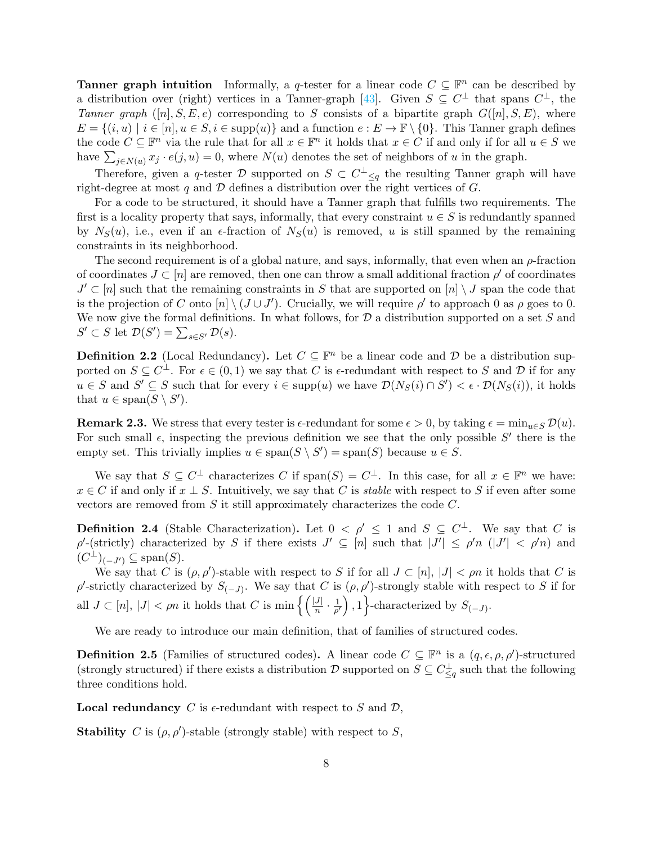**Tanner graph intuition** Informally, a q-tester for a linear code  $C \subseteq \mathbb{F}^n$  can be described by a distribution over (right) vertices in a Tanner-graph [\[43\]](#page-27-5). Given  $S \subseteq C^{\perp}$  that spans  $C^{\perp}$ , the Tanner graph  $([n], S, E, e)$  corresponding to S consists of a bipartite graph  $G([n], S, E)$ , where  $E = \{(i, u) \mid i \in [n], u \in S, i \in \text{supp}(u)\}\$ and a function  $e : E \to \mathbb{F} \setminus \{0\}$ . This Tanner graph defines the code  $C \subseteq \mathbb{F}^n$  via the rule that for all  $x \in \mathbb{F}^n$  it holds that  $x \in C$  if and only if for all  $u \in S$  we have  $\sum_{j\in N(u)} x_j \cdot e(j, u) = 0$ , where  $N(u)$  denotes the set of neighbors of u in the graph.

Therefore, given a q-tester D supported on  $S \subset C^{\perp}_{\leq q}$  the resulting Tanner graph will have right-degree at most q and  $\mathcal D$  defines a distribution over the right vertices of G.

For a code to be structured, it should have a Tanner graph that fulfills two requirements. The first is a locality property that says, informally, that every constraint  $u \in S$  is redundantly spanned by  $N_S(u)$ , i.e., even if an  $\epsilon$ -fraction of  $N_S(u)$  is removed, u is still spanned by the remaining constraints in its neighborhood.

The second requirement is of a global nature, and says, informally, that even when an  $\rho$ -fraction of coordinates  $J \subset [n]$  are removed, then one can throw a small additional fraction  $\rho'$  of coordinates  $J' \subset [n]$  such that the remaining constraints in S that are supported on  $[n] \setminus J$  span the code that is the projection of C onto  $[n] \setminus (J \cup J')$ . Crucially, we will require  $\rho'$  to approach 0 as  $\rho$  goes to 0. We now give the formal definitions. In what follows, for  $\mathcal D$  a distribution supported on a set S and  $S' \subset S$  let  $\mathcal{D}(S') = \sum_{s \in S'} \mathcal{D}(s)$ .

**Definition 2.2** (Local Redundancy). Let  $C \subseteq \mathbb{F}^n$  be a linear code and  $D$  be a distribution supported on  $S \subseteq C^{\perp}$ . For  $\epsilon \in (0,1)$  we say that C is  $\epsilon$ -redundant with respect to S and D if for any  $u \in S$  and  $S' \subseteq S$  such that for every  $i \in \text{supp}(u)$  we have  $\mathcal{D}(N_S(i) \cap S') < \epsilon \cdot \mathcal{D}(N_S(i))$ , it holds that  $u \in \text{span}(S \setminus S')$ .

**Remark 2.3.** We stress that every tester is  $\epsilon$ -redundant for some  $\epsilon > 0$ , by taking  $\epsilon = \min_{u \in S} \mathcal{D}(u)$ . For such small  $\epsilon$ , inspecting the previous definition we see that the only possible  $S'$  there is the empty set. This trivially implies  $u \in \text{span}(S \setminus S') = \text{span}(S)$  because  $u \in S$ .

We say that  $S \subseteq C^{\perp}$  characterizes C if span $(S) = C^{\perp}$ . In this case, for all  $x \in \mathbb{F}^n$  we have:  $x \in C$  if and only if  $x \perp S$ . Intuitively, we say that C is *stable* with respect to S if even after some vectors are removed from  $S$  it still approximately characterizes the code  $C$ .

**Definition 2.4** (Stable Characterization). Let  $0 < \rho' \leq 1$  and  $S \subseteq C^{\perp}$ . We say that C is  $\rho'$ -(strictly) characterized by S if there exists  $J' \subseteq [n]$  such that  $|J'| \leq \rho' n$  ( $|J'| < \rho' n$ ) and  $(C^{\perp})_{(-J')} \subseteq \text{span}(S).$ 

We say that C is  $(\rho, \rho')$ -stable with respect to S if for all  $J \subset [n], |J| < \rho n$  it holds that C is ρ'-strictly characterized by  $S_{(-J)}$ . We say that C is  $(\rho, \rho')$ -strongly stable with respect to S if for all  $J \subset [n], |J| < \rho n$  it holds that C is min  $\left\{ \left( \frac{|J|}{n} \cdot \frac{1}{\rho'} \right) \right\}$  $\left\{\frac{1}{\rho'}\right\}, 1$  characterized by  $S_{(-J)}$ .

We are ready to introduce our main definition, that of families of structured codes.

<span id="page-7-0"></span>**Definition 2.5** (Families of structured codes). A linear code  $C \subseteq \mathbb{F}^n$  is a  $(q, \epsilon, \rho, \rho')$ -structured (strongly structured) if there exists a distribution  $\mathcal{D}$  supported on  $S \subseteq C_{\leq q}^{\perp}$  such that the following three conditions hold.

**Local redundancy** C is  $\epsilon$ -redundant with respect to S and D,

**Stability** C is  $(\rho, \rho')$ -stable (strongly stable) with respect to S,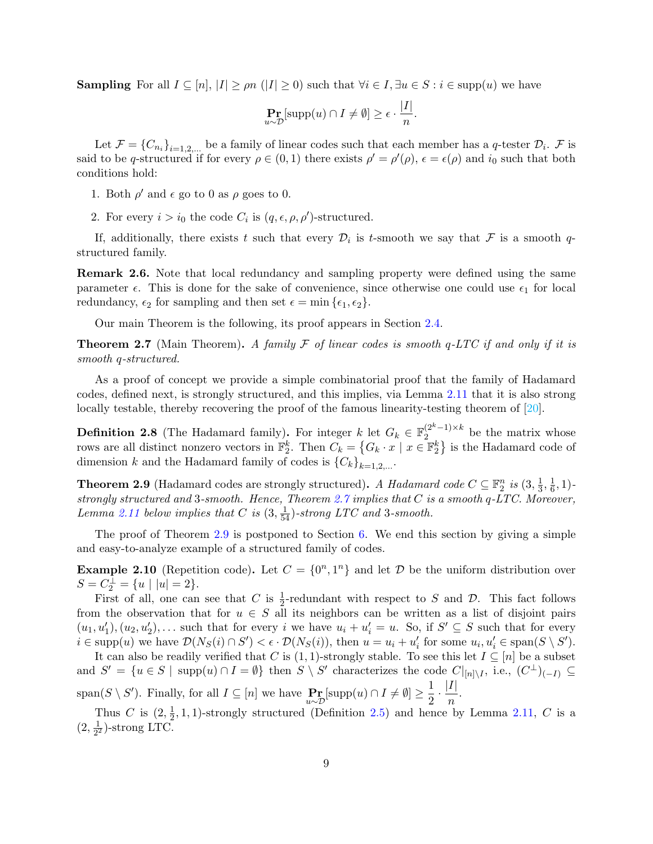**Sampling** For all  $I \subseteq [n], |I| \geq \rho n$  ( $|I| \geq 0$ ) such that  $\forall i \in I, \exists u \in S : i \in \text{supp}(u)$  we have

$$
\Pr_{u \sim \mathcal{D}}[\text{supp}(u) \cap I \neq \emptyset] \geq \epsilon \cdot \frac{|I|}{n}.
$$

Let  $\mathcal{F} = \{C_{n_i}\}_{i=1,2,...}$  be a family of linear codes such that each member has a q-tester  $\mathcal{D}_i$ .  $\mathcal{F}$  is said to be q-structured if for every  $\rho \in (0,1)$  there exists  $\rho' = \rho'(\rho), \epsilon = \epsilon(\rho)$  and  $i_0$  such that both conditions hold:

- 1. Both  $\rho'$  and  $\epsilon$  go to 0 as  $\rho$  goes to 0.
- 2. For every  $i > i_0$  the code  $C_i$  is  $(q, \epsilon, \rho, \rho')$ -structured.

If, additionally, there exists t such that every  $\mathcal{D}_i$  is t-smooth we say that  $\mathcal F$  is a smooth qstructured family.

Remark 2.6. Note that local redundancy and sampling property were defined using the same parameter  $\epsilon$ . This is done for the sake of convenience, since otherwise one could use  $\epsilon_1$  for local redundancy,  $\epsilon_2$  for sampling and then set  $\epsilon = \min \{\epsilon_1, \epsilon_2\}.$ 

Our main Theorem is the following, its proof appears in Section [2.4.](#page-9-0)

<span id="page-8-0"></span>**Theorem 2.7** (Main Theorem). A family F of linear codes is smooth q-LTC if and only if it is smooth q-structured.

As a proof of concept we provide a simple combinatorial proof that the family of Hadamard codes, defined next, is strongly structured, and this implies, via Lemma 2.11 that it is also strong locally testable, thereby recovering the proof of the famous linearity-testing theorem of [\[20\]](#page-25-13).

<span id="page-8-2"></span>**Definition 2.8** (The Hadamard family). For integer  $k$  let  $G_k \in \mathbb{F}_2^{(2^k-1)\times k}$  $\frac{2^{(-1)} \times k}{2}$  be the matrix whose rows are all distinct nonzero vectors in  $\mathbb{F}_2^k$ . Then  $C_k = \{G_k \cdot x \mid x \in \mathbb{F}_2^k\}$  is the Hadamard code of dimension k and the Hadamard family of codes is  ${C_k}_{k=1,2,...}$ .

<span id="page-8-1"></span>**Theorem 2.9** (Hadamard codes are strongly structured). A Hadamard code  $C \subseteq \mathbb{F}_2^n$  is  $(3, \frac{1}{3})$  $\frac{1}{3}, \frac{1}{6}$  $\frac{1}{6}, 1$ )strongly structured and 3-smooth. Hence, Theorem [2.7](#page-8-0) implies that C is a smooth q-LTC. Moreover, Lemma 2.11 below implies that C is  $(3, \frac{1}{54})$ -strong LTC and 3-smooth.

The proof of Theorem [2.9](#page-8-1) is postponed to Section [6.](#page-17-0) We end this section by giving a simple and easy-to-analyze example of a structured family of codes.

**Example 2.10** (Repetition code). Let  $C = \{0^n, 1^n\}$  and let  $D$  be the uniform distribution over  $S = C_2^{\perp} = \{u \mid |u| = 2\}.$ 

First of all, one can see that C is  $\frac{1}{2}$ -redundant with respect to S and D. This fact follows from the observation that for  $u \in S$  all its neighbors can be written as a list of disjoint pairs  $(u_1, u'_1), (u_2, u'_2), \ldots$  such that for every i we have  $u_i + u'_i = u$ . So, if  $S' \subseteq S$  such that for every  $i \in \text{supp}(u)$  we have  $\mathcal{D}(N_S(i) \cap S') < \epsilon \cdot \mathcal{D}(N_S(i))$ , then  $u = u_i + u'_i$  for some  $u_i, u'_i \in \text{span}(S \setminus S')$ .

It can also be readily verified that C is  $(1, 1)$ -strongly stable. To see this let  $I \subseteq [n]$  be a subset and  $S' = \{u \in S \mid \text{supp}(u) \cap I = \emptyset\}$  then  $S \setminus S'$  characterizes the code  $C|_{[n] \setminus I}$ , i.e.,  $(C^{\perp})_{(-I)} \subseteq$  $\text{span}(S \setminus S')$ . Finally, for all  $I \subseteq [n]$  we have  $\Pr_{u \sim \mathcal{D}}[\text{supp}(u) \cap I \neq \emptyset] \geq \frac{1}{2}$  $\frac{1}{2} \cdot \frac{|I|}{n}$  $\frac{1}{n}$ .

Thus C is  $(2, \frac{1}{2})$  $\frac{1}{2}$ , 1, 1)-strongly structured (Definition [2.5\)](#page-7-0) and hence by Lemma 2.11, C is a  $(2, \frac{1}{2})$  $\frac{1}{2^2}$ )-strong LTC.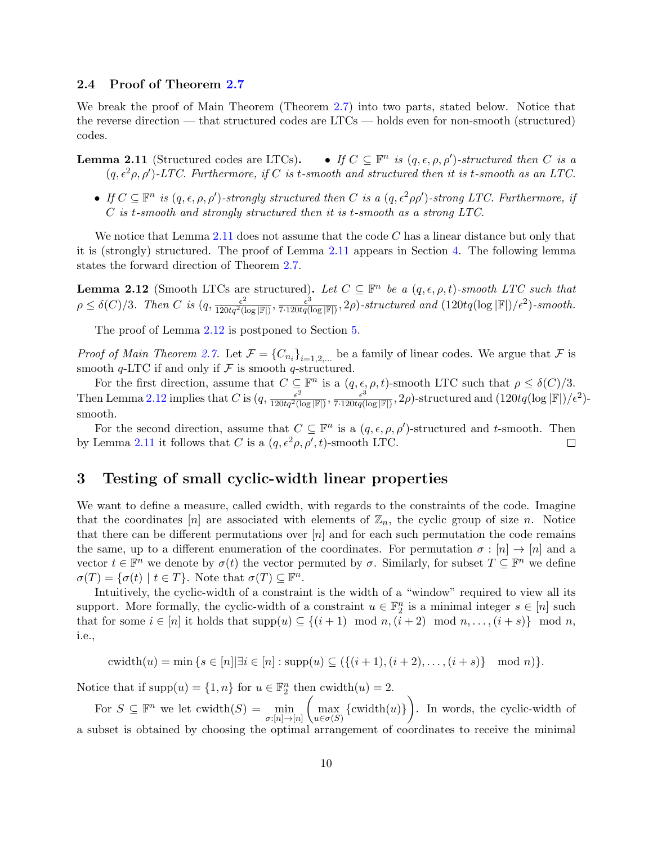#### <span id="page-9-0"></span>2.4 Proof of Theorem [2.7](#page-8-0)

We break the proof of Main Theorem (Theorem [2.7\)](#page-8-0) into two parts, stated below. Notice that the reverse direction — that structured codes are LTCs — holds even for non-smooth (structured) codes.

- **Lemma 2.11** (Structured codes are LTCs). If  $C \subseteq \mathbb{F}^n$  is  $(q, \epsilon, \rho, \rho')$ -structured then C is a  $(q, \epsilon^2 \rho, \rho')$ -LTC. Furthermore, if C is t-smooth and structured then it is t-smooth as an LTC.
	- If  $C \subseteq \mathbb{F}^n$  is  $(q, \epsilon, \rho, \rho')$ -strongly structured then C is a  $(q, \epsilon^2 \rho \rho')$ -strong LTC. Furthermore, if C is t-smooth and strongly structured then it is t-smooth as a strong LTC.

We notice that Lemma 2.11 does not assume that the code  $C$  has a linear distance but only that it is (strongly) structured. The proof of Lemma 2.11 appears in Section [4.](#page-13-0) The following lemma states the forward direction of Theorem [2.7.](#page-8-0)

<span id="page-9-2"></span>**Lemma 2.12** (Smooth LTCs are structured). Let  $C \subseteq \mathbb{F}^n$  be a  $(q, \epsilon, \rho, t)$ -smooth LTC such that  $\rho \leq \delta(C)/3$ . Then C is  $(q, \frac{\epsilon^2}{120tq^2(\log |\mathbb{F}|)}, \frac{\epsilon^3}{7 \cdot 120tq(\log |\mathbb{F}|)}, 2\rho)$ -structured and  $(120tq(\log |\mathbb{F}|)/\epsilon^2)$ -smooth.

The proof of Lemma [2.12](#page-9-2) is postponed to Section [5.](#page-14-0)

*Proof of Main Theorem [2.7.](#page-8-0)* Let  $\mathcal{F} = \{C_{n_i}\}_{i=1,2,...}$  be a family of linear codes. We argue that  $\mathcal{F}$  is smooth  $q$ -LTC if and only if  $\mathcal F$  is smooth  $q$ -structured.

For the first direction, assume that  $C \subseteq \mathbb{F}^n$  is a  $(q, \epsilon, \rho, t)$ -smooth LTC such that  $\rho \leq \delta(C)/3$ . Then Lemma [2.12](#page-9-2) implies that C is  $(q, \frac{\epsilon^2}{120tq^2(\log|\mathbb{F}|)}, \frac{\epsilon^3}{7 \cdot 120tq(\log|\mathbb{F}|)}, 2\rho)$ -structured and  $(120tq(\log|\mathbb{F}|)/\epsilon^2)$ smooth.

For the second direction, assume that  $C \subseteq \mathbb{F}^n$  is a  $(q, \epsilon, \rho, \rho')$ -structured and t-smooth. Then by Lemma 2.11 it follows that C is a  $(q, \epsilon^2 \rho, \rho', t)$ -smooth LTC.  $\Box$ 

# <span id="page-9-1"></span>3 Testing of small cyclic-width linear properties

We want to define a measure, called cwidth, with regards to the constraints of the code. Imagine that the coordinates [n] are associated with elements of  $\mathbb{Z}_n$ , the cyclic group of size n. Notice that there can be different permutations over  $[n]$  and for each such permutation the code remains the same, up to a different enumeration of the coordinates. For permutation  $\sigma : [n] \to [n]$  and a vector  $t \in \mathbb{F}^n$  we denote by  $\sigma(t)$  the vector permuted by  $\sigma$ . Similarly, for subset  $T \subseteq \mathbb{F}^n$  we define  $\sigma(T) = {\sigma(t) | t \in T}.$  Note that  $\sigma(T) \subseteq \mathbb{F}^n$ .

Intuitively, the cyclic-width of a constraint is the width of a "window" required to view all its support. More formally, the cyclic-width of a constraint  $u \in \mathbb{F}_2^n$  is a minimal integer  $s \in [n]$  such that for some  $i \in [n]$  it holds that  $\text{supp}(u) \subseteq \{(i+1) \mod n, (i+2) \mod n, \ldots, (i+s)\}\mod n$ , i.e.,

$$
cwidth(u) = min\{s \in [n] | \exists i \in [n] : supp(u) \subseteq (\{(i+1), (i+2), \dots, (i+s)\} \mod n)\}.
$$

Notice that if  $\text{supp}(u) = \{1, n\}$  for  $u \in \mathbb{F}_2^n$  then  $\text{cwidth}(u) = 2$ .

For  $S \subseteq \mathbb{F}^n$  we let  $\text{cwidth}(S) = \min_{\sigma:[n] \to [n]}$  $\left(\max_{u \in \sigma(S)} {\text{cwidth}(u)}\right)$ . In words, the cyclic-width of a subset is obtained by choosing the optimal arrangement of coordinates to receive the minimal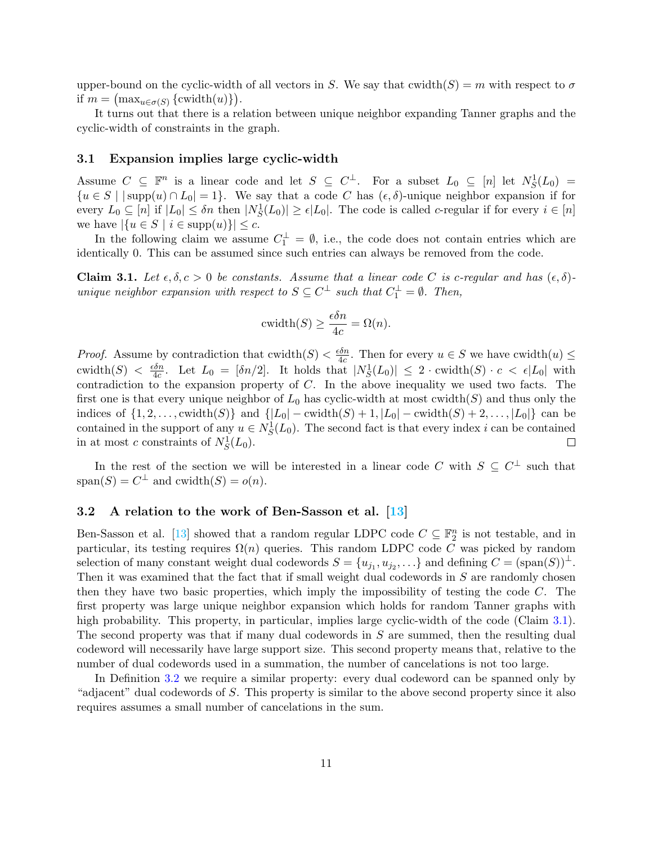upper-bound on the cyclic-width of all vectors in S. We say that cwidth(S) = m with respect to  $\sigma$ if  $m = \left(\max_{u \in \sigma(S)} \left\{ \text{cwidth}(u) \right\} \right).$ 

It turns out that there is a relation between unique neighbor expanding Tanner graphs and the cyclic-width of constraints in the graph.

#### <span id="page-10-0"></span>3.1 Expansion implies large cyclic-width

Assume  $C \subseteq \mathbb{F}^n$  is a linear code and let  $S \subseteq C^{\perp}$ . For a subset  $L_0 \subseteq [n]$  let  $N_S^1(L_0) =$  ${u \in S \mid \mathbf{supp}(u) \cap L_0 = 1}.$  We say that a code C has  $(\epsilon, \delta)$ -unique neighbor expansion if for every  $L_0 \subseteq [n]$  if  $|L_0| \leq \delta n$  then  $|N_S^1(L_0)| \geq \epsilon |L_0|$ . The code is called c-regular if for every  $i \in [n]$ we have  $|\{u \in S \mid i \in \text{supp}(u)\}| \leq c$ .

In the following claim we assume  $C_1^{\perp} = \emptyset$ , i.e., the code does not contain entries which are identically 0. This can be assumed since such entries can always be removed from the code.

<span id="page-10-2"></span>Claim 3.1. Let  $\epsilon, \delta, c > 0$  be constants. Assume that a linear code C is c-regular and has  $(\epsilon, \delta)$ unique neighbor expansion with respect to  $S \subseteq C^{\perp}$  such that  $C_1^{\perp} = \emptyset$ . Then,

$$
cwidth(S) \ge \frac{\epsilon \delta n}{4c} = \Omega(n).
$$

*Proof.* Assume by contradiction that  $\text{cwidth}(S) < \frac{\epsilon \delta n}{4c}$  $\frac{\partial n}{\partial c}$ . Then for every  $u \in S$  we have cwidth $(u) \leq$ cwidth $(S) < \frac{\epsilon \delta n}{4c}$  $\frac{\delta n}{4c}$ . Let  $L_0 = [\delta n/2]$ . It holds that  $|N_S^1(L_0)| \leq 2 \cdot \text{cwidth}(S) \cdot c < \epsilon |L_0|$  with contradiction to the expansion property of C. In the above inequality we used two facts. The first one is that every unique neighbor of  $L_0$  has cyclic-width at most cwidth(S) and thus only the indices of  $\{1, 2, ...,$  cwidth $(S)$  and  $\{|L_0| - \text{cwidth}(S) + 1, |L_0| - \text{cwidth}(S) + 2, ..., |L_0|\}$  can be contained in the support of any  $u \in N_S^1(L_0)$ . The second fact is that every index i can be contained in at most c constraints of  $N_S^1(L_0)$ .  $\Box$ 

In the rest of the section we will be interested in a linear code C with  $S \subseteq C^{\perp}$  such that  $span(S) = C^{\perp}$  and  $cwidth(S) = o(n)$ .

#### <span id="page-10-1"></span>3.2 A relation to the work of Ben-Sasson et al. [\[13\]](#page-25-0)

Ben-Sasson et al. [\[13\]](#page-25-0) showed that a random regular LDPC code  $C \subseteq \mathbb{F}_2^n$  is not testable, and in particular, its testing requires  $\Omega(n)$  queries. This random LDPC code C was picked by random selection of many constant weight dual codewords  $S = \{u_{j_1}, u_{j_2}, \ldots\}$  and defining  $C = (\text{span}(S))^{\perp}$ . Then it was examined that the fact that if small weight dual codewords in  $S$  are randomly chosen then they have two basic properties, which imply the impossibility of testing the code C. The first property was large unique neighbor expansion which holds for random Tanner graphs with high probability. This property, in particular, implies large cyclic-width of the code (Claim [3.1\)](#page-10-2). The second property was that if many dual codewords in S are summed, then the resulting dual codeword will necessarily have large support size. This second property means that, relative to the number of dual codewords used in a summation, the number of cancelations is not too large.

In Definition [3.2](#page-11-2) we require a similar property: every dual codeword can be spanned only by "adjacent" dual codewords of S. This property is similar to the above second property since it also requires assumes a small number of cancelations in the sum.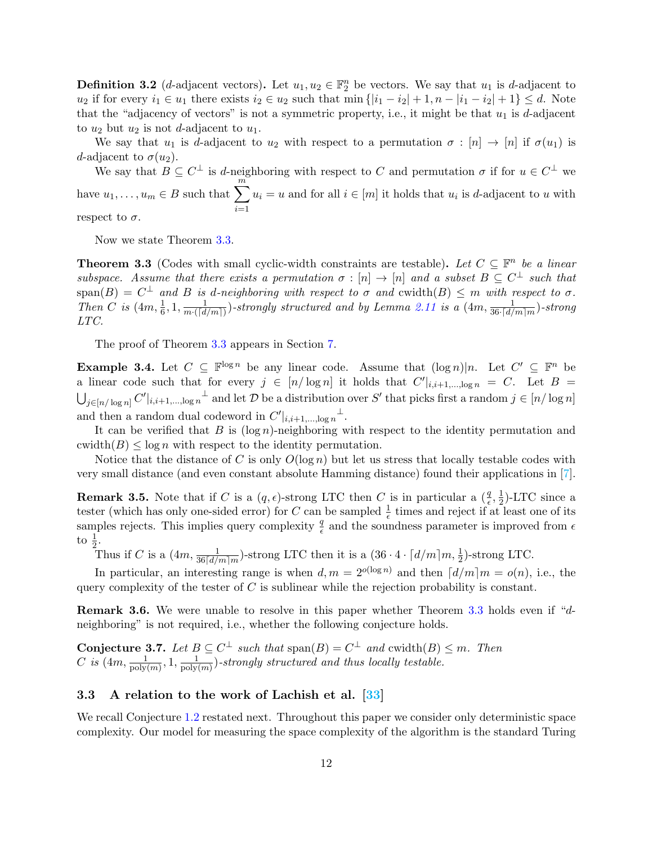<span id="page-11-2"></span>**Definition 3.2** (*d*-adjacent vectors). Let  $u_1, u_2 \in \mathbb{F}_2^n$  be vectors. We say that  $u_1$  is *d*-adjacent to  $u_2$  if for every  $i_1 \in u_1$  there exists  $i_2 \in u_2$  such that  $\min\{|i_1 - i_2| + 1, n - |i_1 - i_2| + 1\} \leq d$ . Note that the "adjacency of vectors" is not a symmetric property, i.e., it might be that  $u_1$  is d-adjacent to  $u_2$  but  $u_2$  is not d-adjacent to  $u_1$ .

We say that  $u_1$  is d-adjacent to  $u_2$  with respect to a permutation  $\sigma : [n] \to [n]$  if  $\sigma(u_1)$  is d-adjacent to  $\sigma(u_2)$ .

We say that  $B \subseteq C^{\perp}$  is d-neighboring with respect to C and permutation  $\sigma$  if for  $u \in C^{\perp}$  we have  $u_1, \ldots, u_m \in B$  such that  $\sum_{m=1}^{\infty}$  $i=1$  $u_i = u$  and for all  $i \in [m]$  it holds that  $u_i$  is d-adjacent to u with

respect to  $\sigma$ .

Now we state Theorem [3.3.](#page-11-1)

<span id="page-11-1"></span>**Theorem 3.3** (Codes with small cyclic-width constraints are testable). Let  $C \subseteq \mathbb{F}^n$  be a linear subspace. Assume that there exists a permutation  $\sigma : [n] \to [n]$  and a subset  $B \subseteq C^{\perp}$  such that  $\text{span}(B) = C^{\perp}$  and B is d-neighboring with respect to  $\sigma$  and  $\text{cwidth}(B) \leq m$  with respect to  $\sigma$ . Then C is  $(4m, \frac{1}{6}, 1, \frac{1}{m \cdot (\lceil d \rceil)})$  $\frac{1}{m\cdot (\lceil d/m \rceil)}$ )-strongly structured and by Lemma 2.11 is a  $(4m, \frac{1}{36\cdot \lceil d/m \rceil m})$ -strong LTC.

The proof of Theorem [3.3](#page-11-1) appears in Section [7.](#page-20-0)

**Example 3.4.** Let  $C \subseteq \mathbb{F}^{\log n}$  be any linear code. Assume that  $(\log n)|n$ . Let  $C' \subseteq \mathbb{F}^n$  be a linear code such that for every  $j \in [n/\log n]$  it holds that  $C'|_{i,i+1,\dots,\log n} = C$ . Let  $B =$  $\bigcup_{j\in[n/\log n]} C'|_{i,i+1,\dots,\log n}$ <sup> $\perp$ </sup> and let  $\mathcal D$  be a distribution over S' that picks first a random  $j\in[n/\log n]$ and then a random dual codeword in  $C'|_{i,i+1,\dots,\log n}$ <sup> $\perp$ </sup>.

It can be verified that  $B$  is  $(\log n)$ -neighboring with respect to the identity permutation and cwidth $(B) \leq \log n$  with respect to the identity permutation.

Notice that the distance of C is only  $O(\log n)$  but let us stress that locally testable codes with very small distance (and even constant absolute Hamming distance) found their applications in [\[7\]](#page-24-8).

**Remark 3.5.** Note that if C is a  $(q, \epsilon)$ -strong LTC then C is in particular a  $(\frac{q}{\epsilon}, \frac{1}{2})$  $\frac{1}{2}$ )-LTC since a tester (which has only one-sided error) for C can be sampled  $\frac{1}{\epsilon}$  times and reject if at least one of its samples rejects. This implies query complexity  $\frac{q}{\epsilon}$  and the soundness parameter is improved from  $\epsilon$ to  $\frac{1}{2}$ .

Thus if C is a  $(4m, \frac{1}{36\lceil d/m \rceil m})$ -strong LTC then it is a  $(36 \cdot 4 \cdot \lceil d/m \rceil m, \frac{1}{2})$ -strong LTC.

In particular, an interesting range is when  $d, m = 2^{o(\log n)}$  and then  $\lceil d/m \rceil m = o(n)$ , i.e., the query complexity of the tester of  $C$  is sublinear while the rejection probability is constant.

<span id="page-11-3"></span>Remark 3.6. We were unable to resolve in this paper whether Theorem [3.3](#page-11-1) holds even if "dneighboring" is not required, i.e., whether the following conjecture holds.

**Conjecture 3.7.** Let  $B \subseteq C^{\perp}$  such that  $\text{span}(B) = C^{\perp}$  and  $\text{cwidth}(B) \leq m$ . Then  $C$  is  $(4m, \frac{1}{\text{poly}(m)}, 1, \frac{1}{\text{poly}(m)})$  $\frac{1}{\text{poly}(m)}$ )-strongly structured and thus locally testable.

#### <span id="page-11-0"></span>3.3 A relation to the work of Lachish et al. [\[33\]](#page-26-0)

We recall Conjecture [1.2](#page-5-3) restated next. Throughout this paper we consider only deterministic space complexity. Our model for measuring the space complexity of the algorithm is the standard Turing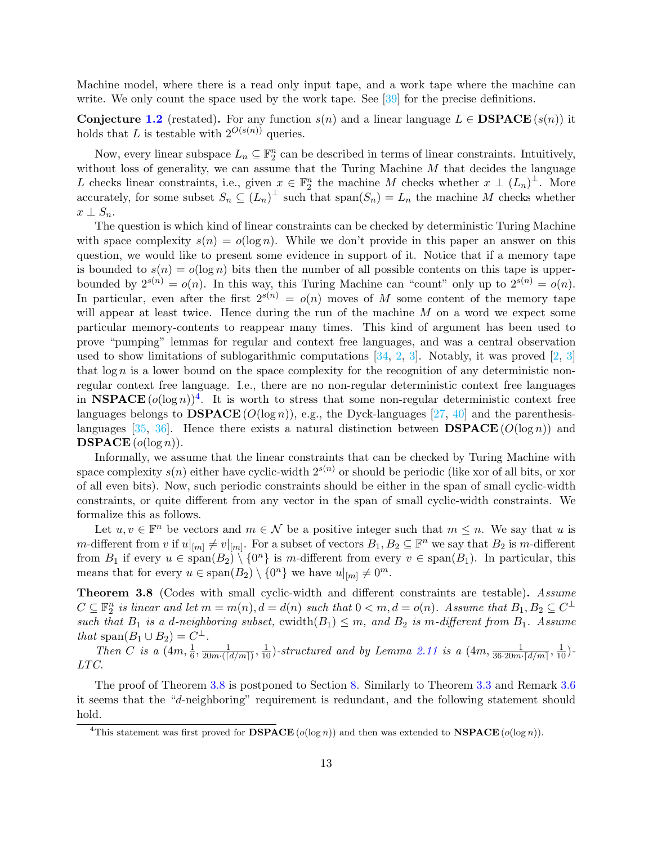Machine model, where there is a read only input tape, and a work tape where the machine can write. We only count the space used by the work tape. See [\[39\]](#page-27-4) for the precise definitions.

Conjecture [1.2](#page-5-3) (restated). For any function  $s(n)$  and a linear language  $L \in \mathbf{DSPACE}(s(n))$  it holds that L is testable with  $2^{O(s(n))}$  queries.

Now, every linear subspace  $L_n \subseteq \mathbb{F}_2^n$  can be described in terms of linear constraints. Intuitively, without loss of generality, we can assume that the Turing Machine  $M$  that decides the language L checks linear constraints, i.e., given  $x \in \mathbb{F}_2^n$  the machine M checks whether  $x \perp (L_n)^{\perp}$ . More accurately, for some subset  $S_n \subseteq (L_n)^{\perp}$  such that  $\text{span}(S_n) = L_n$  the machine M checks whether  $x \perp S_n$ .

The question is which kind of linear constraints can be checked by deterministic Turing Machine with space complexity  $s(n) = o(\log n)$ . While we don't provide in this paper an answer on this question, we would like to present some evidence in support of it. Notice that if a memory tape is bounded to  $s(n) = o(\log n)$  bits then the number of all possible contents on this tape is upperbounded by  $2^{s(n)} = o(n)$ . In this way, this Turing Machine can "count" only up to  $2^{s(n)} = o(n)$ . In particular, even after the first  $2^{s(n)} = o(n)$  moves of M some content of the memory tape will appear at least twice. Hence during the run of the machine  $M$  on a word we expect some particular memory-contents to reappear many times. This kind of argument has been used to prove "pumping" lemmas for regular and context free languages, and was a central observation used to show limitations of sublogarithmic computations  $[34, 2, 3]$  $[34, 2, 3]$  $[34, 2, 3]$  $[34, 2, 3]$ . Notably, it was proved  $[2, 3]$ that  $\log n$  is a lower bound on the space complexity for the recognition of any deterministic nonregular context free language. I.e., there are no non-regular deterministic context free languages in NSPACE  $(o(\log n))^4$  $(o(\log n))^4$ . It is worth to stress that some non-regular deterministic context free languages belongs to  $\mathbf{DSPACE}(O(\log n))$ , e.g., the Dyck-languages [\[27,](#page-26-11) [40\]](#page-27-6) and the parenthesis-languages [\[35,](#page-26-13) [36\]](#page-26-14). Hence there exists a natural distinction between **DSPACE** ( $O(\log n)$ ) and  $\mathbf{DSPACE}(o(\log n)).$ 

Informally, we assume that the linear constraints that can be checked by Turing Machine with space complexity  $s(n)$  either have cyclic-width  $2^{s(n)}$  or should be periodic (like xor of all bits, or xor of all even bits). Now, such periodic constraints should be either in the span of small cyclic-width constraints, or quite different from any vector in the span of small cyclic-width constraints. We formalize this as follows.

Let  $u, v \in \mathbb{F}^n$  be vectors and  $m \in \mathcal{N}$  be a positive integer such that  $m \leq n$ . We say that u is m-different from v if  $u|_{[m]} \neq v|_{[m]}$ . For a subset of vectors  $B_1, B_2 \subseteq \mathbb{F}^n$  we say that  $B_2$  is m-different from  $B_1$  if every  $u \in \text{span}(B_2) \setminus \{0^n\}$  is m-different from every  $v \in \text{span}(B_1)$ . In particular, this means that for every  $u \in \text{span}(B_2) \setminus \{0^n\}$  we have  $u|_{[m]} \neq 0^m$ .

<span id="page-12-0"></span>Theorem 3.8 (Codes with small cyclic-width and different constraints are testable). Assume  $C \subseteq \mathbb{F}_2^n$  is linear and let  $m = m(n)$ ,  $d = d(n)$  such that  $0 < m$ ,  $d = o(n)$ . Assume that  $B_1, B_2 \subseteq C^{\perp}$ such that  $B_1$  is a d-neighboring subset, cwidth $(B_1) \leq m$ , and  $B_2$  is m-different from  $B_1$ . Assume that span $(B_1 \cup B_2) = C^{\perp}$ .

Then C is a  $(4m, \frac{1}{6}, \frac{1}{20m \cdot (n)}$  $\frac{1}{20m\cdot([d/m])}, \frac{1}{10})$ -structured and by Lemma 2.11 is a  $(4m, \frac{1}{36\cdot 20m\cdot[d/m]}, \frac{1}{10})$ -LTC.

The proof of Theorem [3.8](#page-12-0) is postponed to Section [8.](#page-23-0) Similarly to Theorem [3.3](#page-11-1) and Remark [3.6](#page-11-3) it seems that the "d-neighboring" requirement is redundant, and the following statement should hold.

<span id="page-12-1"></span><sup>&</sup>lt;sup>4</sup>This statement was first proved for **DSPACE** ( $o(\log n)$ ) and then was extended to **NSPACE** ( $o(\log n)$ ).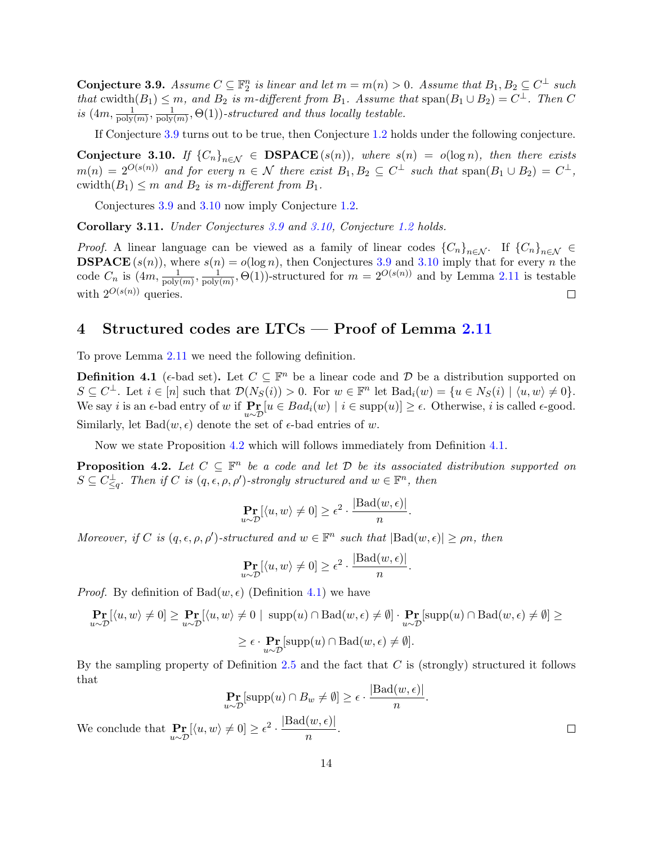<span id="page-13-1"></span>**Conjecture 3.9.** Assume  $C \subseteq \mathbb{F}_2^n$  is linear and let  $m = m(n) > 0$ . Assume that  $B_1, B_2 \subseteq C^{\perp}$  such that cwidth $(B_1) \leq m$ , and  $B_2$  is m-different from  $B_1$ . Assume that  $\text{span}(B_1 \cup B_2) = C^{\perp}$ . Then C is  $(4m, \frac{1}{\text{poly}(m)}, \frac{1}{\text{poly}})$  $\frac{1}{\text{poly}(m)}, \Theta(1))$ -structured and thus locally testable.

If Conjecture [3.9](#page-13-1) turns out to be true, then Conjecture [1.2](#page-5-3) holds under the following conjecture.

<span id="page-13-2"></span>Conjecture 3.10. If  ${C_n}_{n \in \mathbb{N}} \in \text{DSPACE}(s(n))$ , where  $s(n) = o(\log n)$ , then there exists  $m(n) = 2^{O(s(n))}$  and for every  $n \in \mathcal{N}$  there exist  $B_1, B_2 \subseteq C^{\perp}$  such that  $\text{span}(B_1 \cup B_2) = C^{\perp}$ , cwidth $(B_1) \leq m$  and  $B_2$  is m-different from  $B_1$ .

Conjectures [3.9](#page-13-1) and [3.10](#page-13-2) now imply Conjecture [1.2.](#page-5-3)

Corollary 3.11. Under Conjectures [3.9](#page-13-1) and [3.10,](#page-13-2) Conjecture [1.2](#page-5-3) holds.

*Proof.* A linear language can be viewed as a family of linear codes  ${C_n}_{n \in \mathcal{N}}$ . If  ${C_n}_{n \in \mathcal{N}} \in$ **DSPACE**  $(s(n))$ , where  $s(n) = o(\log n)$ , then Conjectures [3.9](#page-13-1) and [3.10](#page-13-2) imply that for every *n* the code  $C_n$  is  $(4m, \frac{1}{\text{poly}(m)}, \frac{1}{\text{poly}})$  $\frac{1}{\text{poly}(m)}, \Theta(1)$ )-structured for  $m = 2^{O(s(n))}$  and by Lemma 2.11 is testable with  $2^{O(s(n))}$  queries.  $\Box$ 

### <span id="page-13-0"></span>4 Structured codes are  $LTCs - Proof$  of Lemma 2.11

To prove Lemma 2.11 we need the following definition.

<span id="page-13-4"></span>**Definition 4.1** ( $\epsilon$ -bad set). Let  $C \subseteq \mathbb{F}^n$  be a linear code and  $D$  be a distribution supported on  $S \subseteq C^{\perp}$ . Let  $i \in [n]$  such that  $\mathcal{D}(N_S(i)) > 0$ . For  $w \in \mathbb{F}^n$  let  $\text{Bad}_i(w) = \{u \in N_S(i) \mid \langle u, w \rangle \neq 0\}$ . We say *i* is an  $\epsilon$ -bad entry of w if  $\Pr_{u \sim \mathcal{D}}[u \in Bad_i(w) \mid i \in \text{supp}(u)] \ge \epsilon$ . Otherwise, *i* is called  $\epsilon$ -good. Similarly, let  $Bad(w, \epsilon)$  denote the set of  $\epsilon$ -bad entries of w.

Now we state Proposition [4.2](#page-13-3) which will follows immediately from Definition [4.1.](#page-13-4)

<span id="page-13-3"></span>**Proposition 4.2.** Let  $C \subseteq \mathbb{F}^n$  be a code and let  $D$  be its associated distribution supported on  $S \subseteq C^{\perp}_{\leq q}$ . Then if C is  $(q, \epsilon, \rho, \rho')$ -strongly structured and  $w \in \mathbb{F}^n$ , then

$$
\Pr_{u \sim \mathcal{D}}[\langle u, w \rangle \neq 0] \ge \epsilon^2 \cdot \frac{|\text{Bad}(w, \epsilon)|}{n}.
$$

Moreover, if C is  $(q, \epsilon, \rho, \rho')$ -structured and  $w \in \mathbb{F}^n$  such that  $|\text{Bad}(w, \epsilon)| \ge \rho n$ , then

$$
\Pr_{u \sim \mathcal{D}}[\langle u, w \rangle \neq 0] \ge \epsilon^2 \cdot \frac{|\text{Bad}(w, \epsilon)|}{n}.
$$

*Proof.* By definition of  $Bad(w, \epsilon)$  (Definition [4.1\)](#page-13-4) we have

$$
\Pr_{u \sim \mathcal{D}}[\langle u, w \rangle \neq 0] \ge \Pr_{u \sim \mathcal{D}}[\langle u, w \rangle \neq 0 \mid \text{ supp}(u) \cap \text{Bad}(w, \epsilon) \neq \emptyset] \cdot \Pr_{u \sim \mathcal{D}}[\text{supp}(u) \cap \text{Bad}(w, \epsilon) \neq \emptyset] \ge
$$
  

$$
\ge \epsilon \cdot \Pr_{u \sim \mathcal{D}}[\text{supp}(u) \cap \text{Bad}(w, \epsilon) \neq \emptyset].
$$

By the sampling property of Definition [2.5](#page-7-0) and the fact that  $C$  is (strongly) structured it follows that  $|{\rm Bad}(w,\epsilon)|$ 

$$
\Pr_{u \sim \mathcal{D}}[\text{supp}(u) \cap B_w \neq \emptyset] \ge \epsilon \cdot \frac{|\text{Bad}(w, \epsilon)|}{n}.
$$
  

$$
\Pr[(u, w) \neq 0] \ge \epsilon^2 \cdot \frac{|\text{Bad}(w, \epsilon)|}{n}.
$$

We conclude that  $\Pr_{u \sim \mathcal{D}}[\langle u, w \rangle \neq 0] \ge \epsilon^2 \cdot \frac{|\text{Bad}(w, \epsilon)|}{n}$ n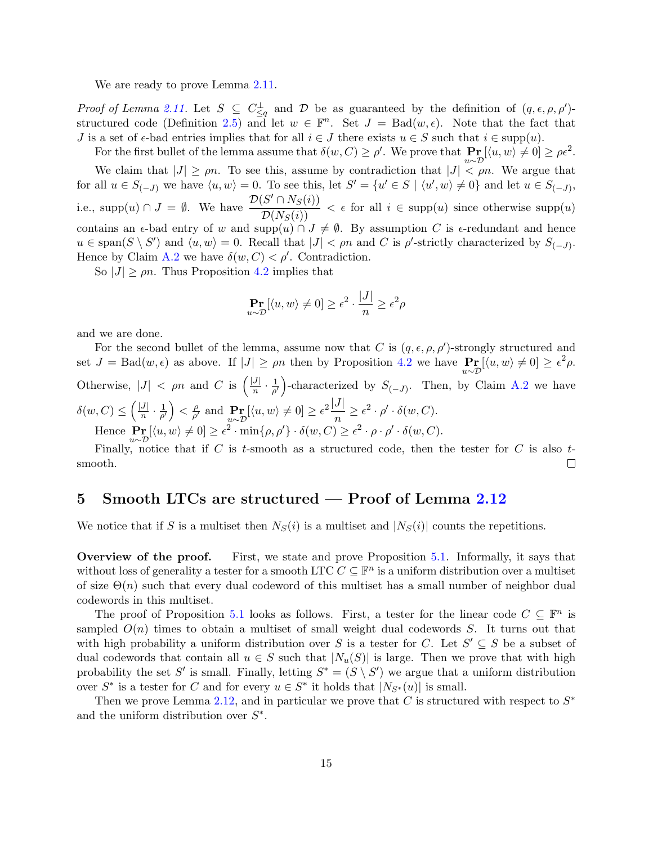We are ready to prove Lemma  $2.11$ .

Proof of Lemma 2.11. Let  $S \subseteq C_{\leq q}^{\perp}$  and  $D$  be as guaranteed by the definition of  $(q, \epsilon, \rho, \rho')$ -structured code (Definition [2.5\)](#page-7-0) and let  $w \in \mathbb{F}^n$ . Set  $J = \text{Bad}(w, \epsilon)$ . Note that the fact that J is a set of  $\epsilon$ -bad entries implies that for all  $i \in J$  there exists  $u \in S$  such that  $i \in \text{supp}(u)$ .

For the first bullet of the lemma assume that  $\delta(w, C) \ge \rho'$ . We prove that  $\Pr_{u \sim \mathcal{D}}[\langle u, w \rangle \ne 0] \ge \rho \epsilon^2$ .

We claim that  $|J| \ge \rho n$ . To see this, assume by contradiction that  $|J| < \rho n$ . We argue that for all  $u \in S_{(-J)}$  we have  $\langle u, w \rangle = 0$ . To see this, let  $S' = \{u' \in S \mid \langle u', w \rangle \neq 0\}$  and let  $u \in S_{(-J)}$ , i.e., supp $(u) \cap J = \emptyset$ . We have  $\frac{\mathcal{D}(S' \cap N_S(i))}{\mathcal{D}(N_S(i))}$  $\frac{\partial^{\alpha} f(x,y,v)}{\partial(x(s))} < \epsilon$  for all  $i \in \text{supp}(u)$  since otherwise supp $(u)$ contains an  $\epsilon$ -bad entry of w and supp $(u) \cap J \neq \emptyset$ . By assumption C is  $\epsilon$ -redundant and hence  $u \in \text{span}(S \setminus S')$  and  $\langle u, w \rangle = 0$ . Recall that  $|J| < \rho n$  and C is  $\rho'$ -strictly characterized by  $S_{(-J)}$ . Hence by Claim [A.2](#page-27-7) we have  $\delta(w, C) < \rho'$ . Contradiction.

So  $|J| \ge \rho n$ . Thus Proposition [4.2](#page-13-3) implies that

$$
\Pr_{u \sim \mathcal{D}}[\langle u, w \rangle \neq 0] \ge \epsilon^2 \cdot \frac{|J|}{n} \ge \epsilon^2 \rho
$$

and we are done.

For the second bullet of the lemma, assume now that C is  $(q, \epsilon, \rho, \rho')$ -strongly structured and set  $J = \text{Bad}(w, \epsilon)$  as above. If  $|J| \ge \rho n$  then by Proposition [4.2](#page-13-3) we have  $\Pr_{u \sim \mathcal{D}}[\langle u, w \rangle \neq 0] \ge \epsilon^2 \rho$ . Otherwise,  $|J| < \rho n$  and C is  $\left(\frac{|J|}{n}\right)$  $\frac{|J|}{n} \cdot \frac{1}{\rho'}$  $\frac{1}{\rho'}$ )-characterized by  $S_{(-J)}$ . Then, by Claim [A.2](#page-27-7) we have  $\delta(w, C) \leq \left(\frac{|J|}{n}\right)$  $\frac{|J|}{n} \cdot \frac{1}{\rho'}$  $\frac{1}{\rho'}\Big)<\frac{\rho}{\rho'}$  $\frac{\rho}{\rho'}$  and  $\Pr_{u \sim \mathcal{D}}[\langle u, w \rangle \neq 0] \ge \epsilon^2 \frac{|J|}{n}$  $\frac{\partial}{\partial n} \geq \epsilon^2 \cdot \rho' \cdot \delta(w, C).$ Hence  $\Pr_{u \sim \mathcal{D}}[\langle u, w \rangle \neq 0] \ge \epsilon^2 \cdot \min\{\rho, \rho'\} \cdot \delta(w, C) \ge \epsilon^2 \cdot \rho \cdot \rho' \cdot \delta(w, C).$ 

Finally, notice that if  $C$  is  $t$ -smooth as a structured code, then the tester for  $C$  is also  $t$ smooth.  $\Box$ 

### <span id="page-14-0"></span>5 Smooth LTCs are structured — Proof of Lemma  $2.12$

We notice that if S is a multiset then  $N_S(i)$  is a multiset and  $|N_S(i)|$  counts the repetitions.

Overview of the proof. First, we state and prove Proposition [5.1.](#page-15-0) Informally, it says that without loss of generality a tester for a smooth LTC  $C \subseteq \mathbb{F}^n$  is a uniform distribution over a multiset of size  $\Theta(n)$  such that every dual codeword of this multiset has a small number of neighbor dual codewords in this multiset.

The proof of Proposition [5.1](#page-15-0) looks as follows. First, a tester for the linear code  $C \subseteq \mathbb{F}^n$  is sampled  $O(n)$  times to obtain a multiset of small weight dual codewords S. It turns out that with high probability a uniform distribution over S is a tester for C. Let  $S' \subseteq S$  be a subset of dual codewords that contain all  $u \in S$  such that  $|N_u(S)|$  is large. Then we prove that with high probability the set S' is small. Finally, letting  $S^* = (S \setminus S')$  we argue that a uniform distribution over  $S^*$  is a tester for C and for every  $u \in S^*$  it holds that  $|N_{S^*}(u)|$  is small.

Then we prove Lemma [2.12,](#page-9-2) and in particular we prove that C is structured with respect to  $S^*$ and the uniform distribution over  $S^*$ .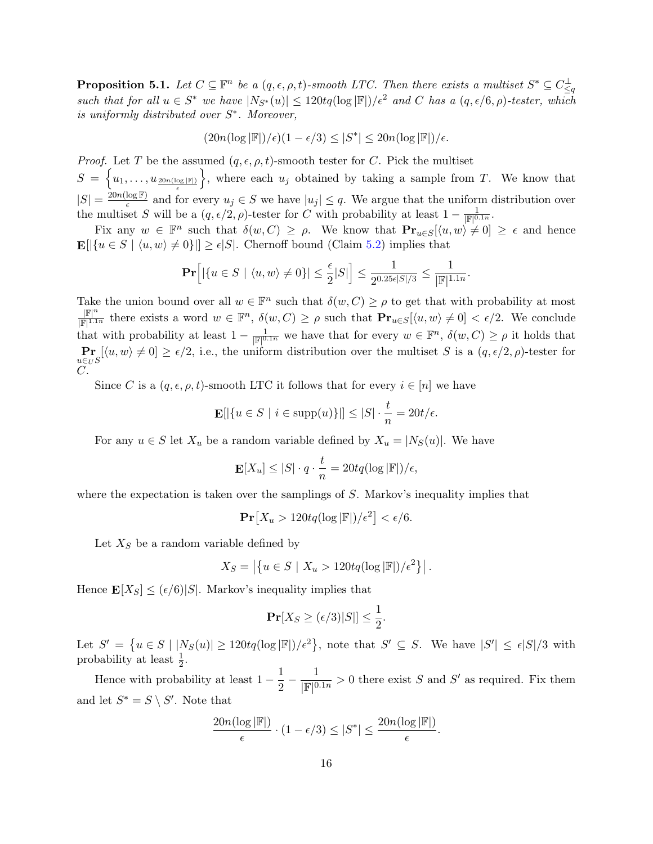<span id="page-15-0"></span>**Proposition 5.1.** Let  $C \subseteq \mathbb{F}^n$  be a  $(q, \epsilon, \rho, t)$ -smooth LTC. Then there exists a multiset  $S^* \subseteq C_{\leq q}^{\perp}$ such that for all  $u \in S^*$  we have  $|N_{S^*}(u)| \leq 120tq(\log |\mathbb{F}|)/\epsilon^2$  and C has a  $(q, \epsilon/6, \rho)$ -tester, which is uniformly distributed over  $S^*$ . Moreover,

$$
(20n(\log |\mathbb{F}|)/\epsilon)(1-\epsilon/3) \leq |S^*| \leq 20n(\log |\mathbb{F}|)/\epsilon.
$$

*Proof.* Let T be the assumed  $(q, \epsilon, \rho, t)$ -smooth tester for C. Pick the multiset  $S = \{u_1, \ldots, u_{20n(\log |\mathbb{F}|)}\}\$ , where each  $u_j$  obtained by taking a sample from T. We know that ǫ  $|S| = \frac{20n(\log \mathbb{F})}{\epsilon}$  $\frac{\log F}{\epsilon}$  and for every  $u_j \in S$  we have  $|u_j| \leq q$ . We argue that the uniform distribution over the multiset S will be a  $(q, \epsilon/2, \rho)$ -tester for C with probability at least  $1 - \frac{1}{|\mathbb{F}|^{0.1n}}$ .

Fix any  $w \in \mathbb{F}^n$  such that  $\delta(w, C) \geq \rho$ . We know that  $\mathbf{Pr}_{u \in S}[\langle u, w \rangle \neq 0] \geq \epsilon$  and hence  $\mathbf{E}[|\{u \in S \mid \langle u, w \rangle \neq 0\}]| \geq \epsilon |S|$ . Chernoff bound (Claim [5.2\)](#page-16-0) implies that

$$
\mathbf{Pr}\Big[|\{u\in S~|~\langle u,w\rangle\neq 0\}|\leq \frac{\epsilon}{2}|S|\Big]\leq \frac{1}{2^{0.25\epsilon|S|/3}}\leq \frac{1}{|\mathbb{F}|^{1.1n}}.
$$

Take the union bound over all  $w \in \mathbb{F}^n$  such that  $\delta(w, C) \ge \rho$  to get that with probability at most  $|\mathbb{F}|^n$  $\frac{\mathbb{F}^n}{\mathbb{F}^{\{1,1n\}}}$  there exists a word  $w \in \mathbb{F}^n$ ,  $\delta(w, C) \ge \rho$  such that  $\mathbf{Pr}_{u \in S}[\langle u, w \rangle \ne 0] < \epsilon/2$ . We conclude that with probability at least  $1 - \frac{1}{\mathbb{F}^{\vert 0,1n \vert}}$  we have that for every  $w \in \mathbb{F}^n$ ,  $\delta(w, C) \ge \rho$  it holds that  $\Pr_{u \in U} [ \langle u, w \rangle \neq 0 ] \geq \epsilon/2$ , i.e., the uniform distribution over the multiset S is a  $(q, \epsilon/2, \rho)$ -tester for  $C$ .

Since C is a  $(q, \epsilon, \rho, t)$ -smooth LTC it follows that for every  $i \in [n]$  we have

$$
\mathbf{E}[|\{u \in S \mid i \in \text{supp}(u)\}|] \leq |S| \cdot \frac{t}{n} = 20t/\epsilon.
$$

For any  $u \in S$  let  $X_u$  be a random variable defined by  $X_u = |N_S(u)|$ . We have

$$
\mathbf{E}[X_u] \leq |S| \cdot q \cdot \frac{t}{n} = 20tq(\log |\mathbb{F}|)/\epsilon,
$$

where the expectation is taken over the samplings of S. Markov's inequality implies that

$$
\mathbf{Pr}\left[X_u > 120tq(\log |\mathbb{F}|)/\epsilon^2\right] < \epsilon/6.
$$

Let  $X<sub>S</sub>$  be a random variable defined by

$$
X_S = \left| \left\{ u \in S \mid X_u > 120tq(\log |\mathbb{F}|)/\epsilon^2 \right\} \right|.
$$

Hence  $\mathbf{E}[X_S] \leq (\epsilon/6)|S|$ . Markov's inequality implies that

$$
\mathbf{Pr}[X_S \ge (\epsilon/3)|S|] \le \frac{1}{2}.
$$

Let  $S' = \{u \in S \mid |N_S(u)| \geq 120tq(\log |\mathbb{F}|)/\epsilon^2\}$ , note that  $S' \subseteq S$ . We have  $|S'| \leq \epsilon |S|/3$  with probability at least  $\frac{1}{2}$ .

Hence with probability at least  $1-\frac{1}{2}$  $\frac{1}{2}-\frac{1}{|\mathbb{F}|^0}$  $\frac{1}{\mathbb{F}^{|0.1n}} > 0$  there exist S and S' as required. Fix them and let  $S^* = S \setminus S'$ . Note that

$$
\frac{20n(\log |\mathbb{F}|)}{\epsilon} \cdot (1 - \epsilon/3) \leq |S^*| \leq \frac{20n(\log |\mathbb{F}|)}{\epsilon}.
$$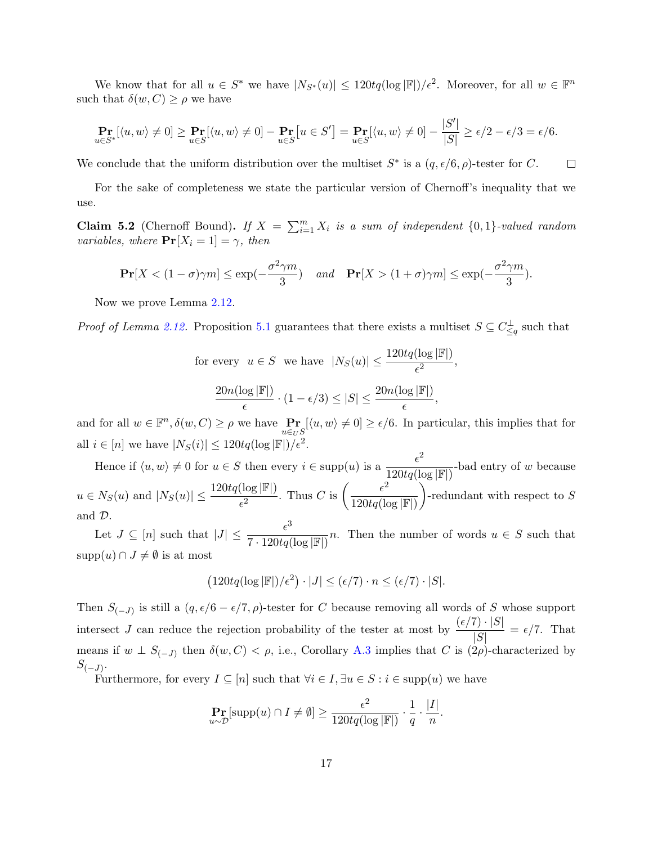We know that for all  $u \in S^*$  we have  $|N_{S^*}(u)| \leq 120tq(\log |\mathbb{F}|)/\epsilon^2$ . Moreover, for all  $w \in \mathbb{F}^n$ such that  $\delta(w, C) \ge \rho$  we have

$$
\Pr_{u \in S^*}[\langle u, w \rangle \neq 0] \ge \Pr_{u \in S}[\langle u, w \rangle \neq 0] - \Pr_{u \in S}[u \in S'] = \Pr_{u \in S}[\langle u, w \rangle \neq 0] - \frac{|S'|}{|S|} \ge \epsilon/2 - \epsilon/3 = \epsilon/6.
$$

We conclude that the uniform distribution over the multiset  $S^*$  is a  $(q, \epsilon/6, \rho)$ -tester for C.  $\Box$ 

For the sake of completeness we state the particular version of Chernoff's inequality that we use.

<span id="page-16-0"></span>**Claim 5.2** (Chernoff Bound). If  $X = \sum_{i=1}^{m} X_i$  is a sum of independent  $\{0, 1\}$ -valued random variables, where  $\Pr[X_i = 1] = \gamma$ , then

$$
\mathbf{Pr}[X < (1 - \sigma)\gamma m] \le \exp(-\frac{\sigma^2 \gamma m}{3}) \quad \text{and} \quad \mathbf{Pr}[X > (1 + \sigma)\gamma m] \le \exp(-\frac{\sigma^2 \gamma m}{3}).
$$

Now we prove Lemma [2.12.](#page-9-2)

*Proof of Lemma [2.12.](#page-9-2)* Proposition [5.1](#page-15-0) guarantees that there exists a multiset  $S \subseteq C_{\leq q}^{\perp}$  such that

for every  $u \in S$  we have  $|N_S(u)| \leq \frac{120tq(\log |\mathbb{F}|)}{\epsilon^2}$ ,  $20n(\log |\mathbb{F}|)$  $\frac{\log |\mathbb{F}|}{\epsilon} \cdot (1 - \epsilon/3) \leq |S| \leq \frac{20n(\log |\mathbb{F}|)}{\epsilon},$ 

and for all  $w \in \mathbb{F}^n, \delta(w, C) \ge \rho$  we have  $\Pr_{u \in U} \{ \langle u, w \rangle \neq 0 \} \ge \epsilon/6$ . In particular, this implies that for all  $i \in [n]$  we have  $|N_S(i)| \leq 120tq(\log |\mathbb{F}|)/\epsilon^2$ .

Hence if  $\langle u, w \rangle \neq 0$  for  $u \in S$  then every  $i \in \text{supp}(u)$  is a  $\frac{\epsilon^2}{100}$  $\frac{1}{120tq(\log |\mathbb{F}|)}$ -bad entry of w because  $u \in N_S(u)$  and  $|N_S(u)| \leq \frac{120tq(\log |\mathbb{F}|)}{\epsilon^2}$ . Thus C is  $\left(\frac{\epsilon^2}{120tq(\log n)}\right)$  $120tq(\log |\mathbb{F}|)$  $\Big)$ -redundant with respect to S and D.

Let  $J \subseteq [n]$  such that  $|J| \leq \frac{\epsilon^3}{7 \cdot 120}$  $\frac{1}{7 \cdot 120tq(\log |\mathbb{F}|)}$ . Then the number of words  $u \in S$  such that  $supp(u) \cap J \neq \emptyset$  is at most

$$
(120tq(\log |\mathbb{F}|)/\epsilon^2) \cdot |J| \leq (\epsilon/7) \cdot n \leq (\epsilon/7) \cdot |S|.
$$

Then  $S_{(-J)}$  is still a  $(q, \epsilon/6 - \epsilon/7, \rho)$ -tester for C because removing all words of S whose support intersect J can reduce the rejection probability of the tester at most by  $\frac{(\epsilon/7) \cdot |S|}{|S|} = \epsilon/7$ . That means if  $w \perp S_{(-J)}$  then  $\delta(w, C) < \rho$ , i.e., Corollary [A.3](#page--1-0) implies that C is  $(2\rho)$ -characterized by  $S_{(-J)}$ .

Furthermore, for every  $I \subseteq [n]$  such that  $\forall i \in I, \exists u \in S : i \in \text{supp}(u)$  we have

$$
\mathop{\bf Pr}_{u \sim \mathcal{D}}[\text{supp}(u) \cap I \neq \emptyset] \ge \frac{\epsilon^2}{120tq(\log |\mathbb{F}|)} \cdot \frac{1}{q} \cdot \frac{|I|}{n}.
$$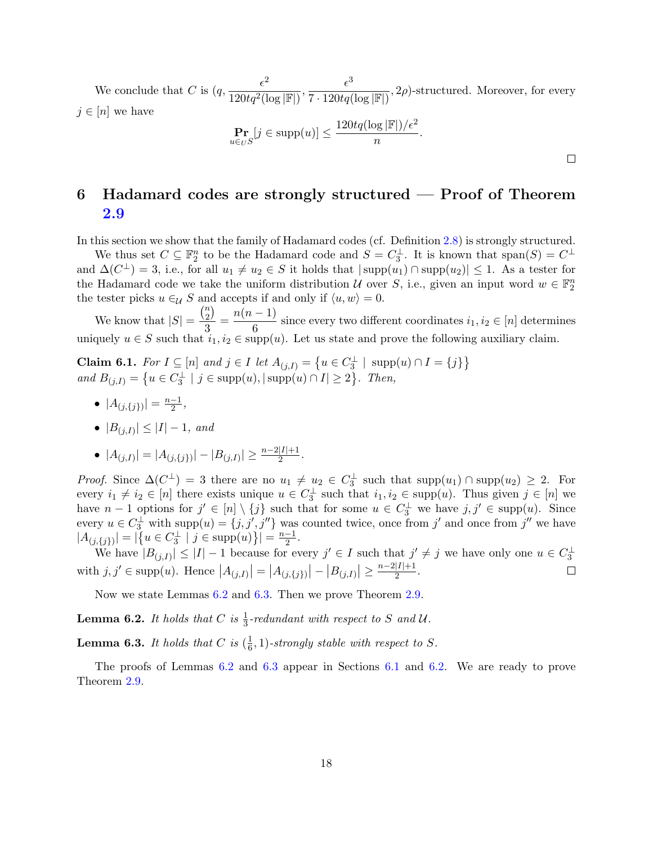We conclude that C is  $(q, \frac{\epsilon^2}{120^{12}})$  $\frac{\epsilon^2}{120 t q^2 (\log |\mathbb{F}|)}, \frac{\epsilon^3}{7 \cdot 120 t q}$  $\frac{1}{7 \cdot 120tq(\log |\mathbb{F}|)}, 2\rho)$ -structured. Moreover, for every  $j \in [n]$  we have  $\Pr_{u \in U} [j \in \text{supp}(u)] \le \frac{120tq(\log |\mathbb{F}|)/\epsilon^2}{n}$  $\frac{n}{\sqrt{n}}$ .

# <span id="page-17-0"></span>6 Hadamard codes are strongly structured — Proof of Theorem [2.9](#page-8-1)

 $\Box$ 

In this section we show that the family of Hadamard codes (cf. Definition [2.8\)](#page-8-2) is strongly structured.

We thus set  $C \subseteq \mathbb{F}_2^n$  to be the Hadamard code and  $S = C_3^{\perp}$ . It is known that  $\text{span}(S) = C^{\perp}$ and  $\Delta(C^{\perp}) = 3$ , i.e., for all  $u_1 \neq u_2 \in S$  it holds that  $|\text{supp}(u_1) \cap \text{supp}(u_2)| \leq 1$ . As a tester for the Hadamard code we take the uniform distribution  $\mathcal U$  over  $S$ , i.e., given an input word  $w \in \mathbb F_2^n$ the tester picks  $u \in \mathcal{U} S$  and accepts if and only if  $\langle u, w \rangle = 0$ .

We know that  $|S| =$  $\binom{n}{2}$  $\binom{n}{2}$  $\frac{n}{3}$  =  $\frac{n(n-1)}{6}$  $\frac{1}{6}$  since every two different coordinates  $i_1, i_2 \in [n]$  determines uniquely  $u \in S$  such that  $i_1, i_2 \in \text{supp}(u)$ . Let us state and prove the following auxiliary claim.

<span id="page-17-3"></span>**Claim 6.1.** For  $I \subseteq [n]$  and  $j \in I$  let  $A_{(j,I)} = \{u \in C_3^{\perp} \mid \text{supp}(u) \cap I = \{j\}\}\$ and  $B_{(j,I)} = \{u \in C_3^{\perp} \mid j \in \text{supp}(u), |\text{supp}(u) \cap I| \ge 2\}$ . Then,

- $|A_{(j,\{j\})}| = \frac{n-1}{2}$  $\frac{-1}{2}$ ,
- $|B_{(j,I)}| \leq |I| 1$ , and

• 
$$
|A_{(j,I)}| = |A_{(j,\{j\})}| - |B_{(j,I)}| \ge \frac{n-2|I|+1}{2}
$$
.

*Proof.* Since  $\Delta(C^{\perp}) = 3$  there are no  $u_1 \neq u_2 \in C_3^{\perp}$  such that  $\text{supp}(u_1) \cap \text{supp}(u_2) \geq 2$ . For every  $i_1 \neq i_2 \in [n]$  there exists unique  $u \in C_3^{\perp}$  such that  $i_1, i_2 \in \text{supp}(u)$ . Thus given  $j \in [n]$  we have  $n-1$  options for  $j' \in [n] \setminus \{j\}$  such that for some  $u \in C_3^{\perp}$  we have  $j, j' \in \text{supp}(u)$ . Since every  $u \in C_3^{\perp}$  with  $\text{supp}(u) = \{j, j', j''\}$  was counted twice, once from j' and once from j'' we have  $|A_{(j,\lbrace j\rbrace)}| = |\{u \in C_3^\perp \mid j \in \text{supp}(u)\}| = \frac{n-1}{2}$  $\frac{-1}{2}$ .

We have  $|B(j,I)| \leq |I|-1$  because for every  $j' \in I$  such that  $j' \neq j$  we have only one  $u \in C_3^{\perp}$ with  $j, j' \in \text{supp}(u)$ . Hence  $|A_{(j,I)}| = |A_{(j,\{j\})}| - |B_{(j,I)}| \ge \frac{n-2|I|+1}{2}$  $\frac{|I|+1}{2}$ .  $\Box$ 

Now we state Lemmas [6.2](#page-17-1) and [6.3.](#page-17-2) Then we prove Theorem [2.9.](#page-8-1)

<span id="page-17-1"></span>**Lemma 6.2.** It holds that C is  $\frac{1}{3}$ -redundant with respect to S and U.

<span id="page-17-2"></span>**Lemma 6.3.** It holds that C is  $(\frac{1}{6})$  $(\frac{1}{6}, 1)$ -strongly stable with respect to S.

The proofs of Lemmas [6.2](#page-17-1) and [6.3](#page-17-2) appear in Sections [6.1](#page-18-0) and [6.2.](#page-19-0) We are ready to prove Theorem [2.9.](#page-8-1)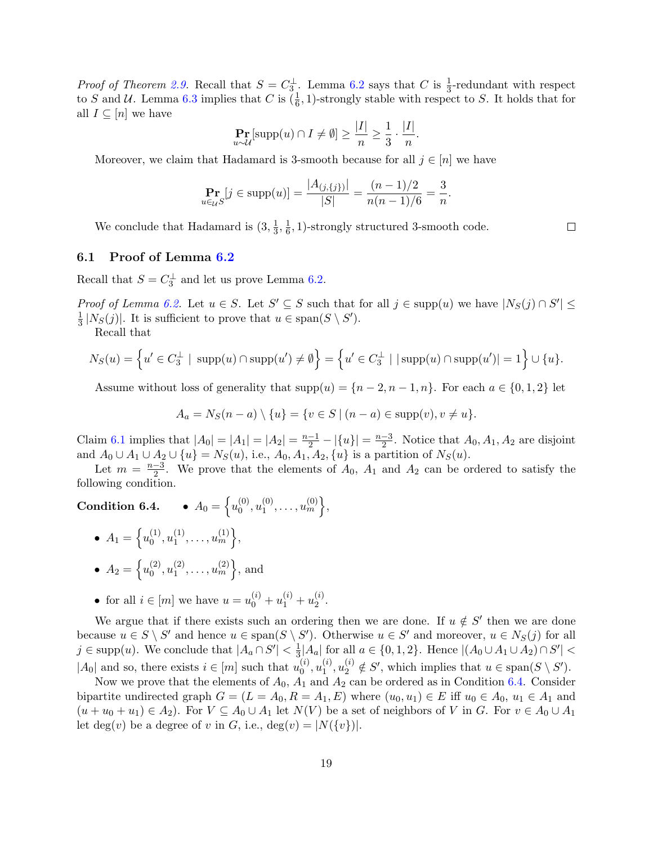*Proof of Theorem [2.9.](#page-8-1)* Recall that  $S = C_3^{\perp}$ . Lemma [6.2](#page-17-1) says that C is  $\frac{1}{3}$ -redundant with respect to S and U. Lemma [6.3](#page-17-2) implies that C is  $(\frac{1}{6}, 1)$ -strongly stable with respect to S. It holds that for all  $I \subseteq [n]$  we have

$$
\Pr_{u \sim \mathcal{U}}[\text{supp}(u) \cap I \neq \emptyset] \ge \frac{|I|}{n} \ge \frac{1}{3} \cdot \frac{|I|}{n}.
$$

Moreover, we claim that Hadamard is 3-smooth because for all  $j \in [n]$  we have

$$
\Pr_{u \in \mathcal{U}}[j \in \text{supp}(u)] = \frac{|A_{(j,\{j\})}|}{|S|} = \frac{(n-1)/2}{n(n-1)/6} = \frac{3}{n}.
$$

We conclude that Hadamard is  $(3, \frac{1}{3})$  $\frac{1}{3}, \frac{1}{6}$  $\frac{1}{6}$ , 1)-strongly structured 3-smooth code.

#### <span id="page-18-0"></span>6.1 Proof of Lemma [6.2](#page-17-1)

Recall that  $S = C_3^{\perp}$  and let us prove Lemma [6.2.](#page-17-1)

Proof of Lemma [6.2.](#page-17-1) Let  $u \in S$ . Let  $S' \subseteq S$  such that for all  $j \in \text{supp}(u)$  we have  $|N_S(j) \cap S'| \le$ 1  $\frac{1}{3}$  |N<sub>S</sub>(j)|. It is sufficient to prove that  $u \in \text{span}(S \setminus S')$ .

Recall that

$$
N_S(u) = \left\{ u' \in C_3^\perp \mid \text{supp}(u) \cap \text{supp}(u') \neq \emptyset \right\} = \left\{ u' \in C_3^\perp \mid |\text{supp}(u) \cap \text{supp}(u')| = 1 \right\} \cup \{u\}.
$$

Assume without loss of generality that  $supp(u) = \{n-2, n-1, n\}$ . For each  $a \in \{0, 1, 2\}$  let

$$
A_a = N_S(n-a) \setminus \{u\} = \{v \in S \mid (n-a) \in \text{supp}(v), v \neq u\}.
$$

Claim [6.1](#page-17-3) implies that  $|A_0| = |A_1| = |A_2| = \frac{n-1}{2} - |\{u\}| = \frac{n-3}{2}$  $\frac{-3}{2}$ . Notice that  $A_0, A_1, A_2$  are disjoint and  $A_0 \cup A_1 \cup A_2 \cup \{u\} = N_S(u)$ , i.e.,  $A_0, A_1, A_2, \{u\}$  is a partition of  $N_S(u)$ .

Let  $m = \frac{n-3}{2}$  $\frac{-3}{2}$ . We prove that the elements of  $A_0$ ,  $A_1$  and  $A_2$  can be ordered to satisfy the following condition.

#### Condition 6.4.  $\{u_0^{(0)}\}$  $\stackrel{(0)}{0},u_1^{(0)}$  $\{0\atop 1},\ldots, u^{(0)}_m\},$

- $A_1 = \left\{ u_0^{(1)} \right\}$  $\stackrel{(1)}{0},u_1^{(1)}$  $\{1\atop 1},\ldots, u_m^{(1)}\},\$ •  $A_2 = \left\{ u_0^{(2)} \right\}$  $\stackrel{(2)}{0},u_1^{(2)}$  $\{2\}$ <sub>1</sub>, ...,  $u_m^{(2)}$ , and
- for all  $i \in [m]$  we have  $u = u_0^{(i)} + u_1^{(i)} + u_2^{(i)}$  $\frac{1}{2}$ .

We argue that if there exists such an ordering then we are done. If  $u \notin S'$  then we are done because  $u \in S \setminus S'$  and hence  $u \in \text{span}(S \setminus S')$ . Otherwise  $u \in S'$  and moreover,  $u \in N_S(j)$  for all  $j \in \text{supp}(u)$ . We conclude that  $|A_a \cap S'| < \frac{1}{3}$  $\frac{1}{3}$ |A<sub>a</sub>| for all *a* ∈ {0, 1, 2}. Hence  $|(A_0 \cup A_1 \cup A_2) \cap S'|$  < | $A_0$ | and so, there exists  $i \in [m]$  such that  $u_0^{(i)}$  $\stackrel{(i)}{0},u_1^{(i)}$  $\mathcal{L}_{1}^{(i)}$ ,  $u_{2}^{(i)} \notin S'$ , which implies that  $u \in \text{span}(S \setminus S')$ .

Now we prove that the elements of  $A_0$ ,  $A_1$  and  $A_2$  can be ordered as in Condition 6.4. Consider bipartite undirected graph  $G = (L = A_0, R = A_1, E)$  where  $(u_0, u_1) \in E$  iff  $u_0 \in A_0, u_1 \in A_1$  and  $(u + u_0 + u_1) \in A_2$ ). For  $V \subseteq A_0 \cup A_1$  let  $N(V)$  be a set of neighbors of V in G. For  $v \in A_0 \cup A_1$ let deg(v) be a degree of v in G, i.e., deg(v) =  $|N({v})|$ .

 $\Box$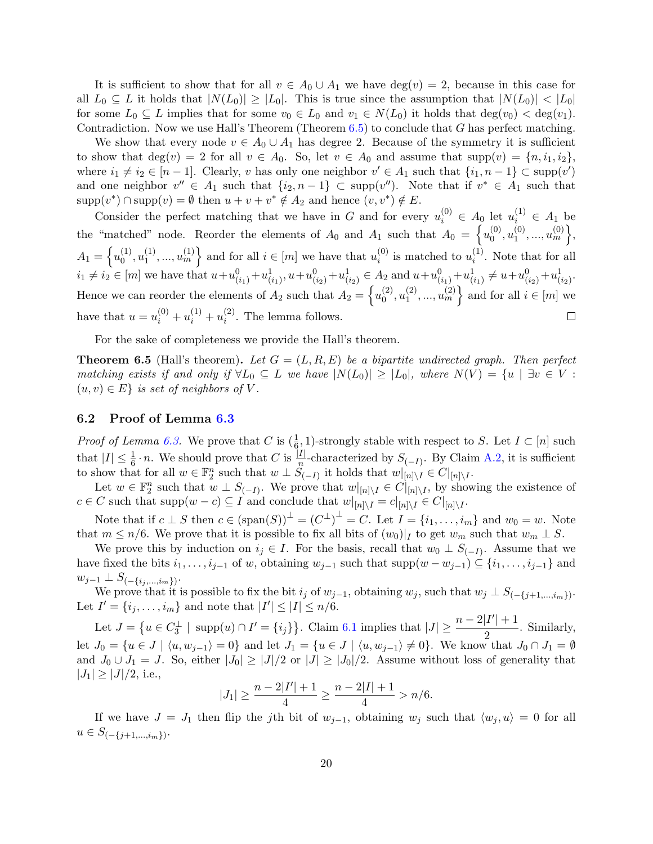It is sufficient to show that for all  $v \in A_0 \cup A_1$  we have  $\deg(v) = 2$ , because in this case for all  $L_0 \subseteq L$  it holds that  $|N(L_0)| \geq |L_0|$ . This is true since the assumption that  $|N(L_0)| < |L_0|$ for some  $L_0 \subseteq L$  implies that for some  $v_0 \in L_0$  and  $v_1 \in N(L_0)$  it holds that  $\deg(v_0) < \deg(v_1)$ . Contradiction. Now we use Hall's Theorem (Theorem  $(6.5)$  $(6.5)$  to conclude that G has perfect matching.

We show that every node  $v \in A_0 \cup A_1$  has degree 2. Because of the symmetry it is sufficient to show that  $deg(v) = 2$  for all  $v \in A_0$ . So, let  $v \in A_0$  and assume that  $supp(v) = \{n, i_1, i_2\}$ , where  $i_1 \neq i_2 \in [n-1]$ . Clearly, v has only one neighbor  $v' \in A_1$  such that  $\{i_1, n-1\} \subset \text{supp}(v')$ and one neighbor  $v'' \in A_1$  such that  $\{i_2, n-1\} \subset \text{supp}(v'')$ . Note that if  $v^* \in A_1$  such that  $\text{supp}(v^*) \cap \text{supp}(v) = \emptyset$  then  $u + v + v^* \notin A_2$  and hence  $(v, v^*) \notin E$ .

Consider the perfect matching that we have in G and for every  $u_i^{(0)} \in A_0$  let  $u_i^{(1)} \in A_1$  be the "matched" node. Reorder the elements of  $A_0$  and  $A_1$  such that  $A_0 = \begin{cases} u_0^{(0)} \end{cases}$  $\{0\}$ <sub>1</sub>, ...,  $u_m^{(0)}\},$  $\stackrel{(0)}{0},u_1^{(0)}$  $A_1 = \left\{ u_0^{(1)} \right\}$  $\stackrel{(1)}{0},u_1^{(1)}$  $\{1, \ldots, u_m^{(1)}\}$  and for all  $i \in [m]$  we have that  $u_i^{(0)}$  $i^{(0)}$  is matched to  $u_i^{(1)}$  $i^{(1)}$ . Note that for all  $i_1 \neq i_2 \in [m]$  we have that  $u + u_{(i_1)}^0 + u_{(i_1)}^1, u + u_{(i_2)}^0 + u_{(i_2)}^1 \in A_2$  and  $u + u_{(i_1)}^0 + u_{(i_1)}^1 \neq u + u_{(i_2)}^0 + u_{(i_2)}^1$ . Hence we can reorder the elements of  $A_2$  such that  $A_2 = \begin{cases} u_0^{(2)} & \text{if } 0 \leq x \leq 1 \end{cases}$  $\stackrel{(2)}{0},u_1^{(2)}$  $\{20, \ldots, u_m^{(2)}\}$  and for all  $i \in [m]$  we have that  $u = u_i^{(0)} + u_i^{(1)} + u_i^{(2)}$  $\Box$  $i^{(2)}$ . The lemma follows.

For the sake of completeness we provide the Hall's theorem.

<span id="page-19-1"></span>**Theorem 6.5** (Hall's theorem). Let  $G = (L, R, E)$  be a bipartite undirected graph. Then perfect matching exists if and only if  $\forall L_0 \subseteq L$  we have  $|N(L_0)| \geq |L_0|$ , where  $N(V) = \{u \mid \exists v \in V :$  $(u, v) \in E$  is set of neighbors of V.

#### <span id="page-19-0"></span>6.2 Proof of Lemma [6.3](#page-17-2)

*Proof of Lemma [6.3.](#page-17-2)* We prove that C is  $(\frac{1}{6}, 1)$ -strongly stable with respect to S. Let  $I \subset [n]$  such that  $|I| \leq \frac{1}{6} \cdot n$ . We should prove that C is  $\frac{|I|}{n}$ -characterized by  $S_{(-I)}$ . By Claim [A.2,](#page-27-7) it is sufficient to show that for all  $w \in \mathbb{F}_2^n$  such that  $w \perp \overset{\cdots}{S}_{(-I)}$  it holds that  $w|_{[n]\setminus I} \in C|_{[n]\setminus I}$ .

Let  $w \in \mathbb{F}_2^n$  such that  $w \perp S_{(-I)}$ . We prove that  $w|_{[n] \setminus I} \in C|_{[n] \setminus I}$ , by showing the existence of  $c \in C$  such that  $\text{supp}(w - c) \subseteq I$  and conclude that  $w|_{[n] \setminus I} = c|_{[n] \setminus I} \in C|_{[n] \setminus I}$ .

Note that if  $c \perp S$  then  $c \in (\text{span}(S))^{\perp} = (C^{\perp})^{\perp} = C$ . Let  $I = \{i_1, \ldots, i_m\}$  and  $w_0 = w$ . Note that  $m \leq n/6$ . We prove that it is possible to fix all bits of  $(w_0)|_I$  to get  $w_m$  such that  $w_m \perp S$ .

We prove this by induction on  $i_j \in I$ . For the basis, recall that  $w_0 \perp S_{(-I)}$ . Assume that we have fixed the bits  $i_1, \ldots, i_{j-1}$  of w, obtaining  $w_{j-1}$  such that  $supp(w - w_{j-1}) \subseteq \{i_1, \ldots, i_{j-1}\}\$  and  $w_{j-1} \perp S_{(-\{i_j,...,i_m\})}.$ 

We prove that it is possible to fix the bit  $i_j$  of  $w_{j-1}$ , obtaining  $w_j$ , such that  $w_j \perp S_{(-\{j+1,\ldots,i_m\})}$ . Let  $I' = \{i_j, \ldots, i_m\}$  and note that  $|I'| \leq |I| \leq n/6$ .

Let  $J = \left\{ u \in C_3^{\perp} \mid \text{ supp}(u) \cap I' = \{i_j\} \right\}$ . Claim [6.1](#page-17-3) implies that  $|J| \geq \frac{n-2|I'|+1}{2}$  $\frac{1}{2}$ . Similarly, let  $J_0 = \{u \in J \mid \langle u, w_{j-1} \rangle = 0\}$  and let  $J_1 = \{u \in J \mid \langle u, w_{j-1} \rangle \neq 0\}$ . We know that  $J_0 \cap J_1 = \emptyset$ and  $J_0 \cup J_1 = J$ . So, either  $|J_0| \geq |J|/2$  or  $|J| \geq |J_0|/2$ . Assume without loss of generality that  $|J_1| \ge |J|/2$ , i.e.,

$$
|J_1| \ge \frac{n-2|I'|+1}{4} \ge \frac{n-2|I|+1}{4} > n/6.
$$

If we have  $J = J_1$  then flip the j<sup>th</sup> bit of  $w_{j-1}$ , obtaining  $w_j$  such that  $\langle w_j, u \rangle = 0$  for all  $u \in S_{(-\{j+1,\ldots,i_m\})}.$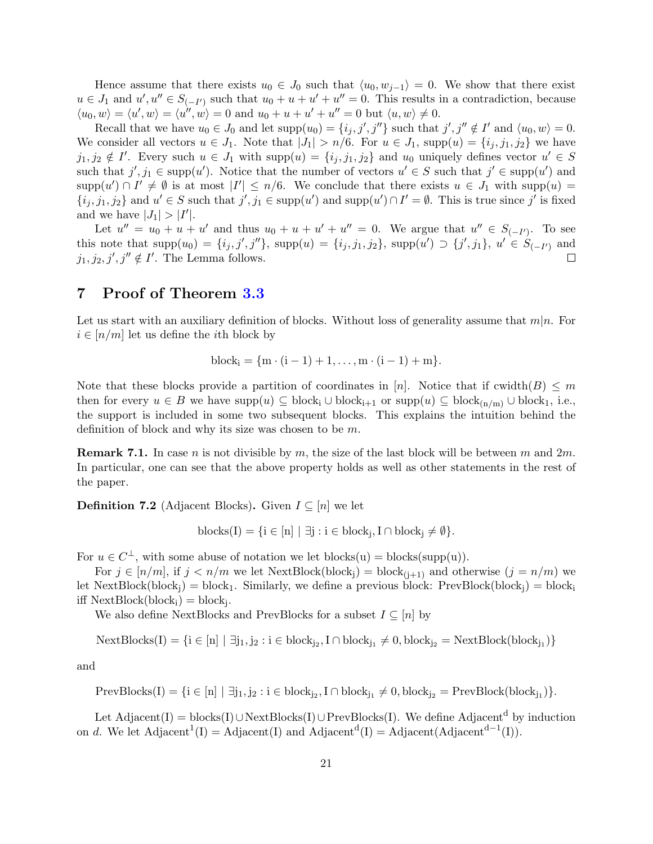Hence assume that there exists  $u_0 \in J_0$  such that  $\langle u_0, w_{i-1} \rangle = 0$ . We show that there exist  $u \in J_1$  and  $u', u'' \in S_{(-I')}$  such that  $u_0 + u + u' + u'' = 0$ . This results in a contradiction, because  $\langle u_0, w \rangle = \langle u', w \rangle = \langle u'', w \rangle = 0$  and  $u_0 + u + u' + u'' = 0$  but  $\langle u, w \rangle \neq 0$ .

Recall that we have  $u_0 \in J_0$  and let  $\text{supp}(u_0) = \{i_j, j', j''\}$  such that  $j', j'' \notin I'$  and  $\langle u_0, w \rangle = 0$ . We consider all vectors  $u \in J_1$ . Note that  $|J_1| > n/6$ . For  $u \in J_1$ , supp $(u) = \{i_j, j_1, j_2\}$  we have  $j_1, j_2 \notin I'$ . Every such  $u \in J_1$  with  $supp(u) = \{i_j, j_1, j_2\}$  and  $u_0$  uniquely defines vector  $u' \in S$ such that  $j', j_1 \in \text{supp}(u')$ . Notice that the number of vectors  $u' \in S$  such that  $j' \in \text{supp}(u')$  and  $\text{supp}(u') \cap I' \neq \emptyset$  is at most  $|I'| \leq n/6$ . We conclude that there exists  $u \in J_1$  with  $\text{supp}(u) =$  $\{i_j, j_1, j_2\}$  and  $u' \in S$  such that  $j', j_1 \in \text{supp}(u')$  and  $\text{supp}(u') \cap I' = \emptyset$ . This is true since  $j'$  is fixed and we have  $|J_1|>|I'|$ .

Let  $u'' = u_0 + u + u'$  and thus  $u_0 + u + u' + u'' = 0$ . We argue that  $u'' \in S_{(-I')}$ . To see this note that  $supp(u_0) = \{i_j, j', j''\}$ ,  $supp(u) = \{i_j, j_1, j_2\}$ ,  $supp(u') \supset \{j', j_1\}$ ,  $u' \in S_{(-I')}$  and  $j_1, j_2, j', j'' \notin I'$ . The Lemma follows.  $\Box$ 

# <span id="page-20-0"></span>7 Proof of Theorem [3.3](#page-11-1)

Let us start with an auxiliary definition of blocks. Without loss of generality assume that  $m|n$ . For  $i \in [n/m]$  let us define the *i*th block by

block<sup>i</sup> = {m · (i − 1) + 1, . . . , m · (i − 1) + m}.

Note that these blocks provide a partition of coordinates in [n]. Notice that if cwidth $(B) \leq m$ then for every  $u \in B$  we have  $\text{supp}(u) \subseteq \text{block}_{i+1}$  or  $\text{supp}(u) \subseteq \text{block}_{(n/m)} \cup \text{block}_{1}$ , i.e., the support is included in some two subsequent blocks. This explains the intuition behind the definition of block and why its size was chosen to be m.

<span id="page-20-1"></span>**Remark 7.1.** In case *n* is not divisible by *m*, the size of the last block will be between *m* and  $2m$ . In particular, one can see that the above property holds as well as other statements in the rest of the paper.

**Definition 7.2** (Adjacent Blocks). Given  $I \subseteq [n]$  we let

 $\text{blocks}(I) = \{i \in [n] \mid \exists j : i \in \text{block}_j, I \cap \text{block}_j \neq \emptyset\}.$ 

For  $u \in C^{\perp}$ , with some abuse of notation we let blocks(u) = blocks(supp(u)).

For  $j \in [n/m]$ , if  $j < n/m$  we let NextBlock(block<sub>i</sub>) = block<sub>(i+1)</sub> and otherwise  $(j = n/m)$  we let NextBlock(block<sub>i</sub>) = block<sub>1</sub>. Similarly, we define a previous block: PrevBlock(block<sub>i</sub>) = block<sub>i</sub> iff  $NextBlock(block<sub>i</sub>) = block<sub>j</sub>.$ 

We also define NextBlocks and PrevBlocks for a subset  $I \subseteq [n]$  by

 $\text{NextBlock}(I) = \{i \in [n] \mid \exists j_1, j_2 : i \in \text{block}_{j_2}, I \cap \text{block}_{j_1} \neq 0, \text{block}_{j_2} = \text{NextBlock}(\text{block}_{j_1})\}$ 

and

 $\text{PrevBlocks}(I) = \{i \in [n] \mid \exists j_1, j_2 : i \in \text{block}_{j_2}, I \cap \text{block}_{j_1} \neq 0, \text{block}_{j_2} = \text{PrevBlock}(\text{block}_{j_1})\}.$ 

Let Adjacent(I) = blocks(I)∪NextBlocks(I)∪PrevBlocks(I). We define Adjacent<sup>d</sup> by induction on d. We let  $\text{Adjacent}^1(I) = \text{Adjacent}(I)$  and  $\text{Adjacent}^d(I) = \text{Adjacent}(\text{Adjacent}^{d-1}(I)).$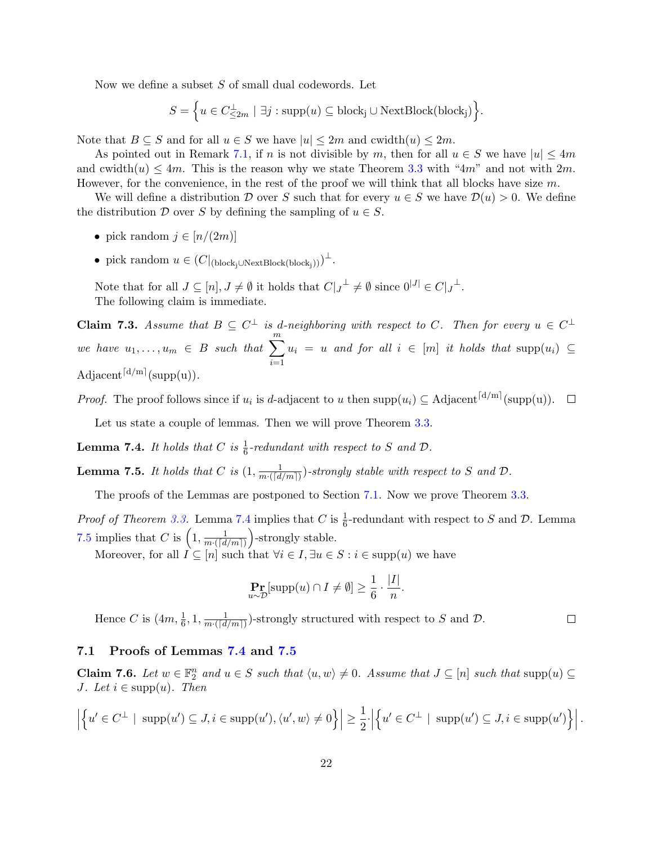Now we define a subset S of small dual codewords. Let

$$
S = \Big\{ u \in C^{\perp}_{\leq 2m} \mid \exists j : \text{supp}(u) \subseteq \text{block}_{j} \cup \text{NextBlock}(\text{block}_{j}) \Big\}.
$$

Note that  $B \subseteq S$  and for all  $u \in S$  we have  $|u| \leq 2m$  and cwidth $(u) \leq 2m$ .

As pointed out in Remark [7.1,](#page-20-1) if n is not divisible by m, then for all  $u \in S$  we have  $|u| \leq 4m$ and cwidth $(u) \le 4m$ . This is the reason why we state Theorem [3.3](#page-11-1) with "4m" and not with  $2m$ . However, for the convenience, in the rest of the proof we will think that all blocks have size  $m$ .

We will define a distribution D over S such that for every  $u \in S$  we have  $\mathcal{D}(u) > 0$ . We define the distribution D over S by defining the sampling of  $u \in S$ .

- pick random  $j \in [n/(2m)]$
- pick random  $u \in (C|_{(block_j \cup NextBlock(block_j)))})^{\perp}.$

Note that for all  $J \subseteq [n], J \neq \emptyset$  it holds that  $C|_{J}^{\perp} \neq \emptyset$  since  $0^{|J|} \in C|_{J}^{\perp}$ . The following claim is immediate.

<span id="page-21-4"></span>**Claim 7.3.** Assume that  $B \subseteq C^{\perp}$  is d-neighboring with respect to C. Then for every  $u \in C^{\perp}$ we have  $u_1, \ldots, u_m \in B$  such that  $\sum_{m=1}^m$  $i=1$  $u_i = u$  and for all  $i \in [m]$  it holds that  $\text{supp}(u_i) \subseteq$ Adjacent<sup>[d/m]</sup>(supp(u)).

*Proof.* The proof follows since if  $u_i$  is d-adjacent to u then supp $(u_i) \subseteq \text{Adjacent}^{\lceil d/m \rceil}(\text{supp}(u)).$ 

Let us state a couple of lemmas. Then we will prove Theorem [3.3.](#page-11-1)

<span id="page-21-0"></span>**Lemma 7.4.** It holds that C is  $\frac{1}{6}$ -redundant with respect to S and D.

<span id="page-21-1"></span>**Lemma 7.5.** It holds that C is  $(1, \frac{1}{m\sqrt{d}})$  $\frac{1}{m\cdot(\lceil d/m\rceil)}$ -strongly stable with respect to S and D.

The proofs of the Lemmas are postponed to Section [7.1.](#page-21-2) Now we prove Theorem [3.3.](#page-11-1)

*Proof of Theorem [3.3.](#page-11-1)* Lemma [7.4](#page-21-0) implies that C is  $\frac{1}{6}$ -redundant with respect to S and D. Lemma [7.5](#page-21-1) implies that C is  $\left(1, \frac{1}{m\sqrt{d}}\right)$  $\frac{1}{m\cdot([d/m])}$  -strongly stable.

Moreover, for all  $I \subseteq [n]$  such that  $\forall i \in I, \exists u \in S : i \in \text{supp}(u)$  we have

$$
\Pr_{u \sim \mathcal{D}}[\text{supp}(u) \cap I \neq \emptyset] \ge \frac{1}{6} \cdot \frac{|I|}{n}.
$$

Hence C is  $(4m, \frac{1}{6}, 1, \frac{1}{m \cdot (\lceil d \rceil)})$  $\frac{1}{m\cdot([d/m])}$ -strongly structured with respect to S and D.

### <span id="page-21-2"></span>7.1 Proofs of Lemmas [7.4](#page-21-0) and [7.5](#page-21-1)

<span id="page-21-3"></span>**Claim 7.6.** Let  $w \in \mathbb{F}_2^n$  and  $u \in S$  such that  $\langle u, w \rangle \neq 0$ . Assume that  $J \subseteq [n]$  such that  $\text{supp}(u) \subseteq$ J. Let  $i \in \text{supp}(u)$ . Then

$$
\left| \left\{ u' \in C^{\perp} \mid \text{supp}(u') \subseteq J, i \in \text{supp}(u'), \langle u', w \rangle \neq 0 \right\} \right| \geq \frac{1}{2} \cdot \left| \left\{ u' \in C^{\perp} \mid \text{supp}(u') \subseteq J, i \in \text{supp}(u') \right\} \right|.
$$

 $\Box$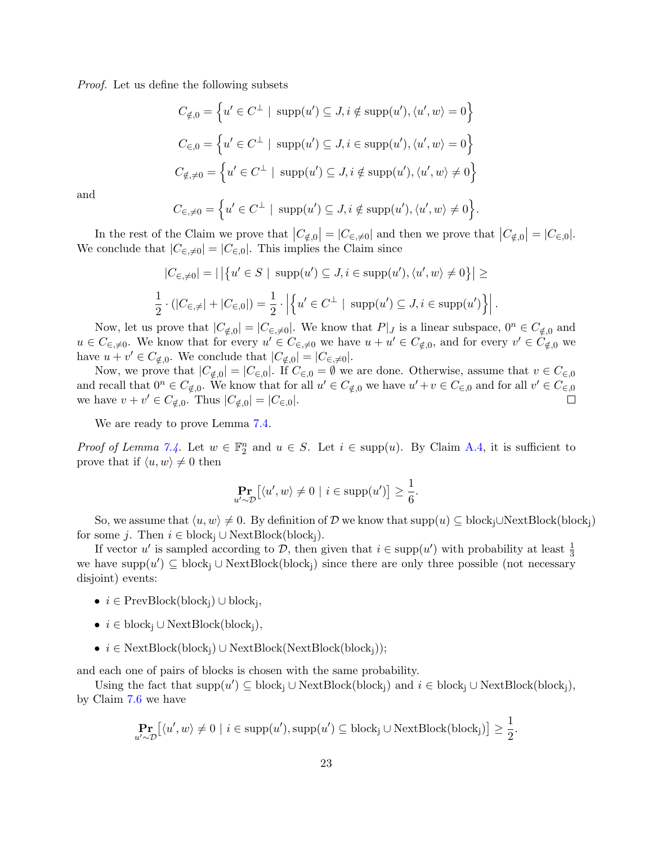Proof. Let us define the following subsets

$$
C_{\notin,0} = \left\{ u' \in C^{\perp} \mid \text{ supp}(u') \subseteq J, i \notin \text{supp}(u'), \langle u', w \rangle = 0 \right\}
$$
  

$$
C_{\in,0} = \left\{ u' \in C^{\perp} \mid \text{supp}(u') \subseteq J, i \in \text{supp}(u'), \langle u', w \rangle = 0 \right\}
$$
  

$$
C_{\notin, \neq 0} = \left\{ u' \in C^{\perp} \mid \text{supp}(u') \subseteq J, i \notin \text{supp}(u'), \langle u', w \rangle \neq 0 \right\}
$$

and

$$
C_{\in \mathcal{A}0} = \Big\{ u' \in C^{\perp} \mid \text{supp}(u') \subseteq J, i \notin \text{supp}(u'), \langle u', w \rangle \neq 0 \Big\}.
$$

In the rest of the Claim we prove that  $|C_{\notin,0}| = |C_{\in,\neq 0}|$  and then we prove that  $|C_{\notin,0}| = |C_{\in,0}|$ . We conclude that  $|C_{\epsilon,\neq 0}| = |C_{\epsilon,0}|$ . This implies the Claim since

$$
|C_{\infty,\neq 0}| = |\left\{ u' \in S \mid \text{supp}(u') \subseteq J, i \in \text{supp}(u'), \langle u', w \rangle \neq 0 \right\}| \ge
$$
  

$$
\frac{1}{2} \cdot (|C_{\infty,\neq}| + |C_{\infty,0}|) = \frac{1}{2} \cdot \left| \left\{ u' \in C^{\perp} \mid \text{supp}(u') \subseteq J, i \in \text{supp}(u') \right\} \right|.
$$

Now, let us prove that  $|C_{\notin,0}| = |C_{\infty,0}|$ . We know that  $P|_J$  is a linear subspace,  $0^n \in C_{\notin,0}$  and  $u \in C_{\epsilon, \neq 0}$ . We know that for every  $u' \in C_{\epsilon, \neq 0}$  we have  $u + u' \in C_{\notin, 0}$ , and for every  $v' \in C_{\notin, 0}$  we have  $u + v' \in C_{\notin,0}$ . We conclude that  $|C_{\notin,0}| = |C_{\in,0}|$ .

Now, we prove that  $|C_{\notin,0}| = |C_{\in,0}|$ . If  $C_{\in,0} = \emptyset$  we are done. Otherwise, assume that  $v \in C_{\in,0}$ and recall that  $0^n \in C_{\notin,0}$ . We know that for all  $u' \in C_{\notin,0}$  we have  $u' + v \in C_{\in,0}$  and for all  $v' \in C_{\in,0}$ we have  $v + v' \in C_{\notin,0}$ . Thus  $|C_{\notin,0}| = |C_{\in,0}|$ .  $\Box$ 

We are ready to prove Lemma [7.4.](#page-21-0)

*Proof of Lemma [7.4.](#page-21-0)* Let  $w \in \mathbb{F}_2^n$  and  $u \in S$ . Let  $i \in \text{supp}(u)$ . By Claim [A.4,](#page--1-1) it is sufficient to prove that if  $\langle u, w \rangle \neq 0$  then

$$
\Pr_{u' \sim \mathcal{D}} [\langle u', w \rangle \neq 0 \mid i \in \text{supp}(u')] \ge \frac{1}{6}.
$$

So, we assume that  $\langle u, w \rangle \neq 0$ . By definition of D we know that supp $(u) \subseteq \text{block}_{i} \cup \text{NextBlock}(\text{block}_{i})$ for some j. Then  $i \in \text{block}_{i} \cup \text{NextBlock}(\text{block}_{i}).$ 

If vector u' is sampled according to D, then given that  $i \in \text{supp}(u')$  with probability at least  $\frac{1}{3}$ we have  $\text{supp}(u') \subseteq \text{block}_{j} \cup \text{NextBlock}(\text{block}_{j})$  since there are only three possible (not necessary disjoint) events:

- $i \in PrevBlock(\text{block}_{j}) \cup \text{block}_{j},$
- $i \in \text{block}_{i} \cup \text{NextBlock}(\text{block}_{i}),$
- $i \in \text{NextBlock}(\text{block}_{i}) \cup \text{NextBlock}(\text{NextBlock}_{i})$

and each one of pairs of blocks is chosen with the same probability.

Using the fact that  $\text{supp}(u') \subseteq \text{block}_{j} \cup \text{NextBlock}(\text{block}_{j})$  and  $i \in \text{block}_{j} \cup \text{NextBlock}(\text{block}_{j}),$ by Claim [7.6](#page-21-3) we have

$$
\Pr_{u' \sim \mathcal{D}} [\langle u', w \rangle \neq 0 \mid i \in \text{supp}(u'), \text{supp}(u') \subseteq \text{block}_{j} \cup \text{NextBlock}(\text{block}_{j})] \ge \frac{1}{2}.
$$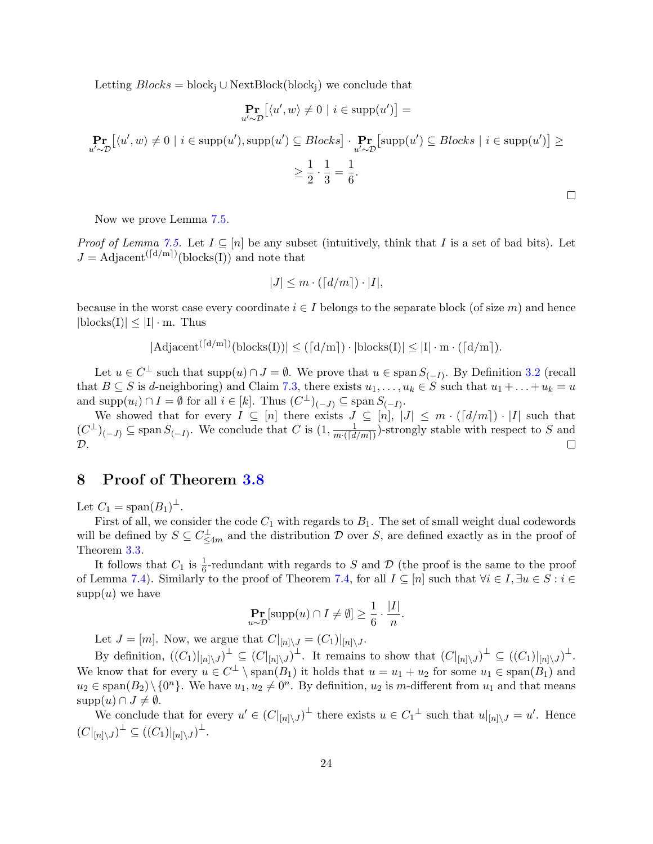Letting  $Blocks = block_i \cup NextBlock(block_i)$  we conclude that

$$
\Pr_{u' \sim \mathcal{D}} [\langle u', w \rangle \neq 0 \mid i \in \text{supp}(u')] =
$$

$$
\Pr_{u' \sim \mathcal{D}}[\langle u', w \rangle \neq 0 \mid i \in \text{supp}(u'), \text{supp}(u') \subseteq \text{Blocks}] \cdot \Pr_{u' \sim \mathcal{D}}[\text{supp}(u') \subseteq \text{Blocks} \mid i \in \text{supp}(u')] \ge
$$
\n
$$
\geq \frac{1}{2} \cdot \frac{1}{3} = \frac{1}{6}.
$$

Now we prove Lemma [7.5.](#page-21-1)

*Proof of Lemma [7.5.](#page-21-1)* Let  $I \subseteq [n]$  be any subset (intuitively, think that I is a set of bad bits). Let  $J = \text{Adjacent}^{\left(\lceil d/m \rceil\right)}\text{(blocks(I))}$  and note that

$$
|J| \le m \cdot (\lceil d/m \rceil) \cdot |I|,
$$

because in the worst case every coordinate  $i \in I$  belongs to the separate block (of size m) and hence  $|blocks(I)| \leq |I| \cdot m$ . Thus

 $|\text{Adjacent}^{(\lceil d/m \rceil)}(\text{blocks}(I))| \leq (\lceil d/m \rceil) \cdot |\text{blocks}(I)| \leq |I| \cdot m \cdot (\lceil d/m \rceil).$ 

Let  $u \in C^{\perp}$  such that  $\text{supp}(u) \cap J = \emptyset$ . We prove that  $u \in \text{span } S_{(-I)}$ . By Definition [3.2](#page-11-2) (recall that  $B \subseteq S$  is d-neighboring) and Claim [7.3,](#page-21-4) there exists  $u_1, \ldots, u_k \in S$  such that  $u_1 + \ldots + u_k = u$ and supp $(u_i) \cap I = \emptyset$  for all  $i \in [k]$ . Thus  $(C^{\perp})_{(-J)} \subseteq \text{span } S_{(-I)}$ .

We showed that for every  $I \subseteq [n]$  there exists  $J \subseteq [n]$ ,  $|J| \leq m \cdot (d/m) \cdot |I|$  such that  $(C^{\perp})_{(-J)} \subseteq \text{span } S_{(-I)}$ . We conclude that C is  $(1, \frac{1}{m \cdot (d)})$  $\frac{1}{m\cdot([d/m])}$ -strongly stable with respect to S and  $\mathcal{D}$ .  $\Box$ 

# <span id="page-23-0"></span>8 Proof of Theorem [3.8](#page-12-0)

Let  $C_1 = \text{span}(B_1)^{\perp}$ .

First of all, we consider the code  $C_1$  with regards to  $B_1$ . The set of small weight dual codewords will be defined by  $S \subseteq C_{\leq 4m}^{\perp}$  and the distribution D over S, are defined exactly as in the proof of Theorem [3.3.](#page-11-1)

It follows that  $C_1$  is  $\frac{1}{6}$ -redundant with regards to S and D (the proof is the same to the proof of Lemma [7.4\)](#page-21-0). Similarly to the proof of Theorem [7.4,](#page-21-0) for all  $I \subseteq [n]$  such that  $\forall i \in I, \exists u \in S : i \in$  $supp(u)$  we have

$$
\Pr_{u \sim \mathcal{D}}[\text{supp}(u) \cap I \neq \emptyset] \ge \frac{1}{6} \cdot \frac{|I|}{n}.
$$

Let  $J = [m]$ . Now, we argue that  $C|_{[n] \setminus J} = (C_1)|_{[n] \setminus J}$ .

By definition,  $((C_1)|_{[n]\setminus J})^{\perp} \subseteq (C|_{[n]\setminus J})^{\perp}$ . It remains to show that  $(C|_{[n]\setminus J})^{\perp} \subseteq ((C_1)|_{[n]\setminus J})^{\perp}$ . We know that for every  $u \in C^{\perp} \setminus \text{span}(B_1)$  it holds that  $u = u_1 + u_2$  for some  $u_1 \in \text{span}(B_1)$  and  $u_2 \in \text{span}(B_2) \setminus \{0^n\}.$  We have  $u_1, u_2 \neq 0^n$ . By definition,  $u_2$  is m-different from  $u_1$  and that means  $supp(u) \cap J \neq \emptyset$ .

We conclude that for every  $u' \in (C|_{[n] \setminus J})^{\perp}$  there exists  $u \in C_1^{\perp}$  such that  $u|_{[n] \setminus J} = u'$ . Hence  $(C|_{[n]\setminus J})^{\perp} \subseteq ((C_1)|_{[n]\setminus J})^{\perp}.$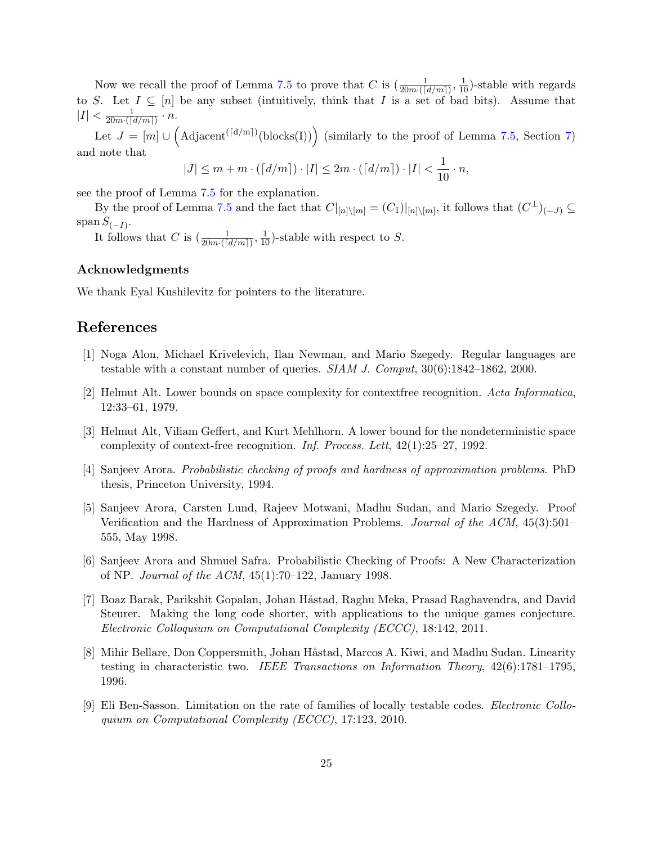Now we recall the proof of Lemma [7.5](#page-21-1) to prove that C is  $(\frac{1}{20m\cdot([d/m])}, \frac{1}{10})$ -stable with regards to S. Let  $I \subseteq [n]$  be any subset (intuitively, think that I is a set of bad bits). Assume that  $|I| < \frac{1}{20m\sqrt{L}}$  $\frac{1}{20m\cdot(\lceil d/m \rceil)}\cdot n.$ 

Let  $J = [m] \cup (Adjacent^{([d/m])}(blocks(I)))$  (similarly to the proof of Lemma [7.5,](#page-21-1) Section [7\)](#page-20-0) and note that

$$
|J| \le m + m \cdot (\lceil d/m \rceil) \cdot |I| \le 2m \cdot (\lceil d/m \rceil) \cdot |I| < \frac{1}{10} \cdot n,
$$

see the proof of Lemma [7.5](#page-21-1) for the explanation.

By the proof of Lemma [7.5](#page-21-1) and the fact that  $C|_{[n]\setminus[m]} = (C_1)|_{[n]\setminus[m]}$ , it follows that  $(C^{\perp})_{(-J)} \subseteq$ span  $S_{(-I)}$ .

It follows that C is  $\left(\frac{1}{20m\cdot\left(\lceil d/m \rceil\right)}, \frac{1}{10}\right)$ -stable with respect to S.

#### Acknowledgments

We thank Eyal Kushilevitz for pointers to the literature.

# <span id="page-24-5"></span>References

- <span id="page-24-6"></span>[1] Noga Alon, Michael Krivelevich, Ilan Newman, and Mario Szegedy. Regular languages are testable with a constant number of queries. SIAM J. Comput, 30(6):1842–1862, 2000.
- <span id="page-24-7"></span>[2] Helmut Alt. Lower bounds on space complexity for contextfree recognition. Acta Informatica, 12:33–61, 1979.
- [3] Helmut Alt, Viliam Geffert, and Kurt Mehlhorn. A lower bound for the nondeterministic space complexity of context-free recognition. Inf. Process. Lett, 42(1):25–27, 1992.
- <span id="page-24-2"></span><span id="page-24-1"></span>[4] Sanjeev Arora. Probabilistic checking of proofs and hardness of approximation problems. PhD thesis, Princeton University, 1994.
- [5] Sanjeev Arora, Carsten Lund, Rajeev Motwani, Madhu Sudan, and Mario Szegedy. Proof Verification and the Hardness of Approximation Problems. Journal of the ACM, 45(3):501– 555, May 1998.
- <span id="page-24-0"></span>[6] Sanjeev Arora and Shmuel Safra. Probabilistic Checking of Proofs: A New Characterization of NP. Journal of the ACM, 45(1):70–122, January 1998.
- <span id="page-24-8"></span>[7] Boaz Barak, Parikshit Gopalan, Johan Håstad, Raghu Meka, Prasad Raghavendra, and David Steurer. Making the long code shorter, with applications to the unique games conjecture. Electronic Colloquium on Computational Complexity (ECCC), 18:142, 2011.
- <span id="page-24-4"></span>[8] Mihir Bellare, Don Coppersmith, Johan Håstad, Marcos A. Kiwi, and Madhu Sudan. Linearity testing in characteristic two. IEEE Transactions on Information Theory,  $42(6)$ :1781–1795, 1996.
- <span id="page-24-3"></span>[9] Eli Ben-Sasson. Limitation on the rate of families of locally testable codes. Electronic Colloquium on Computational Complexity (ECCC), 17:123, 2010.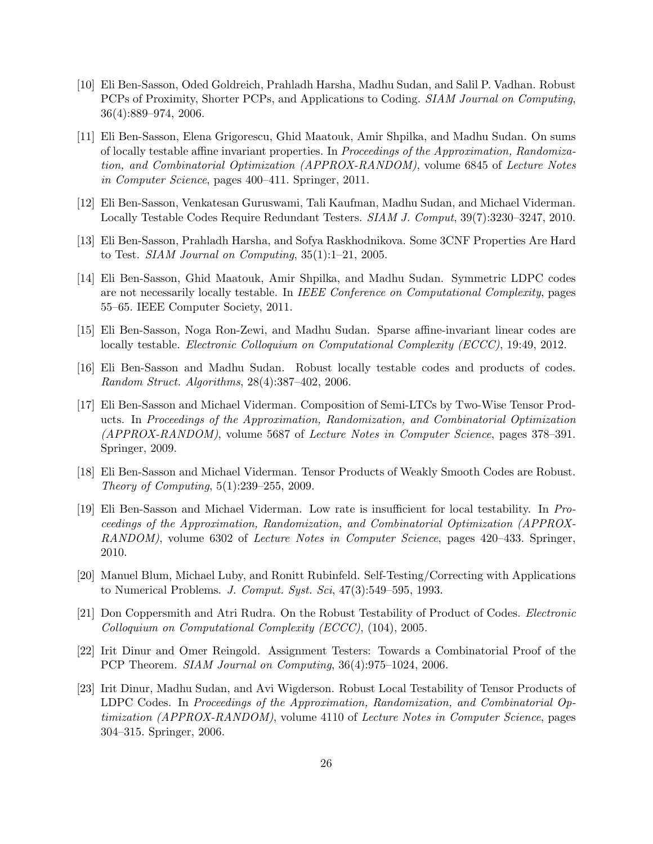- <span id="page-25-1"></span>[10] Eli Ben-Sasson, Oded Goldreich, Prahladh Harsha, Madhu Sudan, and Salil P. Vadhan. Robust PCPs of Proximity, Shorter PCPs, and Applications to Coding. SIAM Journal on Computing, 36(4):889–974, 2006.
- <span id="page-25-9"></span>[11] Eli Ben-Sasson, Elena Grigorescu, Ghid Maatouk, Amir Shpilka, and Madhu Sudan. On sums of locally testable affine invariant properties. In Proceedings of the Approximation, Randomization, and Combinatorial Optimization (APPROX-RANDOM), volume 6845 of Lecture Notes in Computer Science, pages 400–411. Springer, 2011.
- <span id="page-25-11"></span><span id="page-25-0"></span>[12] Eli Ben-Sasson, Venkatesan Guruswami, Tali Kaufman, Madhu Sudan, and Michael Viderman. Locally Testable Codes Require Redundant Testers. SIAM J. Comput, 39(7):3230–3247, 2010.
- <span id="page-25-12"></span>[13] Eli Ben-Sasson, Prahladh Harsha, and Sofya Raskhodnikova. Some 3CNF Properties Are Hard to Test. SIAM Journal on Computing, 35(1):1–21, 2005.
- [14] Eli Ben-Sasson, Ghid Maatouk, Amir Shpilka, and Madhu Sudan. Symmetric LDPC codes are not necessarily locally testable. In IEEE Conference on Computational Complexity, pages 55–65. IEEE Computer Society, 2011.
- <span id="page-25-10"></span><span id="page-25-3"></span>[15] Eli Ben-Sasson, Noga Ron-Zewi, and Madhu Sudan. Sparse affine-invariant linear codes are locally testable. *Electronic Colloquium on Computational Complexity (ECCC)*, 19:49, 2012.
- <span id="page-25-4"></span>[16] Eli Ben-Sasson and Madhu Sudan. Robust locally testable codes and products of codes. Random Struct. Algorithms, 28(4):387–402, 2006.
- [17] Eli Ben-Sasson and Michael Viderman. Composition of Semi-LTCs by Two-Wise Tensor Products. In Proceedings of the Approximation, Randomization, and Combinatorial Optimization (APPROX-RANDOM), volume 5687 of Lecture Notes in Computer Science, pages 378–391. Springer, 2009.
- <span id="page-25-8"></span><span id="page-25-5"></span>[18] Eli Ben-Sasson and Michael Viderman. Tensor Products of Weakly Smooth Codes are Robust. Theory of Computing, 5(1):239–255, 2009.
- [19] Eli Ben-Sasson and Michael Viderman. Low rate is insufficient for local testability. In Proceedings of the Approximation, Randomization, and Combinatorial Optimization (APPROX-RANDOM), volume 6302 of Lecture Notes in Computer Science, pages 420–433. Springer, 2010.
- <span id="page-25-13"></span><span id="page-25-6"></span>[20] Manuel Blum, Michael Luby, and Ronitt Rubinfeld. Self-Testing/Correcting with Applications to Numerical Problems. J. Comput. Syst. Sci, 47(3):549–595, 1993.
- [21] Don Coppersmith and Atri Rudra. On the Robust Testability of Product of Codes. Electronic Colloquium on Computational Complexity (ECCC), (104), 2005.
- <span id="page-25-2"></span>[22] Irit Dinur and Omer Reingold. Assignment Testers: Towards a Combinatorial Proof of the PCP Theorem. SIAM Journal on Computing, 36(4):975–1024, 2006.
- <span id="page-25-7"></span>[23] Irit Dinur, Madhu Sudan, and Avi Wigderson. Robust Local Testability of Tensor Products of LDPC Codes. In Proceedings of the Approximation, Randomization, and Combinatorial Optimization (APPROX-RANDOM), volume 4110 of Lecture Notes in Computer Science, pages 304–315. Springer, 2006.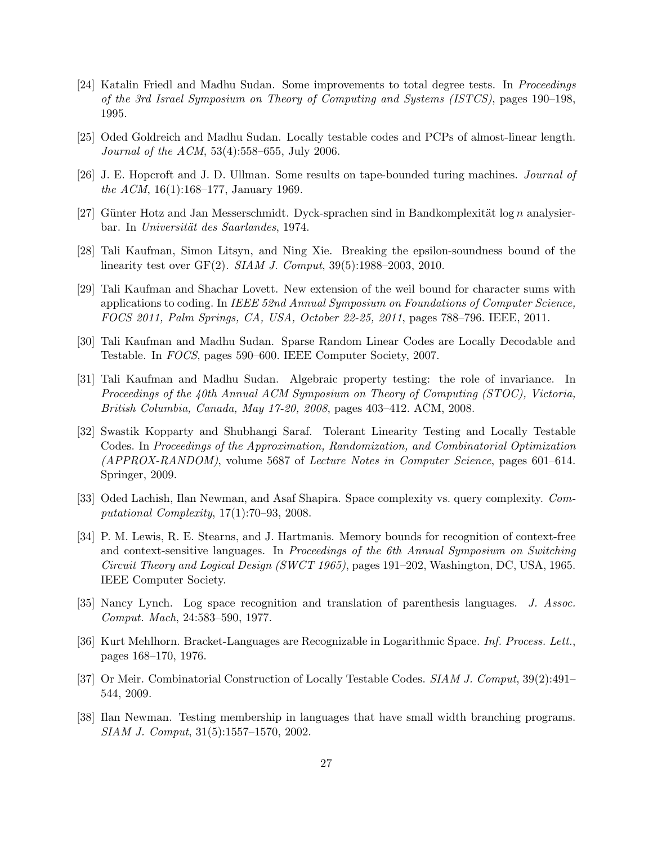- <span id="page-26-1"></span>[24] Katalin Friedl and Madhu Sudan. Some improvements to total degree tests. In Proceedings of the 3rd Israel Symposium on Theory of Computing and Systems (ISTCS), pages 190–198, 1995.
- <span id="page-26-10"></span><span id="page-26-2"></span>[25] Oded Goldreich and Madhu Sudan. Locally testable codes and PCPs of almost-linear length. Journal of the ACM, 53(4):558–655, July 2006.
- <span id="page-26-11"></span>[26] J. E. Hopcroft and J. D. Ullman. Some results on tape-bounded turing machines. Journal of the ACM, 16(1):168–177, January 1969.
- <span id="page-26-8"></span>[27] Günter Hotz and Jan Messerschmidt. Dyck-sprachen sind in Bandkomplexität log n analysierbar. In Universität des Saarlandes, 1974.
- <span id="page-26-7"></span>[28] Tali Kaufman, Simon Litsyn, and Ning Xie. Breaking the epsilon-soundness bound of the linearity test over GF(2). SIAM J. Comput, 39(5):1988–2003, 2010.
- [29] Tali Kaufman and Shachar Lovett. New extension of the weil bound for character sums with applications to coding. In IEEE 52nd Annual Symposium on Foundations of Computer Science, FOCS 2011, Palm Springs, CA, USA, October 22-25, 2011, pages 788–796. IEEE, 2011.
- <span id="page-26-6"></span><span id="page-26-4"></span>[30] Tali Kaufman and Madhu Sudan. Sparse Random Linear Codes are Locally Decodable and Testable. In FOCS, pages 590–600. IEEE Computer Society, 2007.
- [31] Tali Kaufman and Madhu Sudan. Algebraic property testing: the role of invariance. In Proceedings of the 40th Annual ACM Symposium on Theory of Computing (STOC), Victoria, British Columbia, Canada, May 17-20, 2008, pages 403–412. ACM, 2008.
- <span id="page-26-5"></span>[32] Swastik Kopparty and Shubhangi Saraf. Tolerant Linearity Testing and Locally Testable Codes. In Proceedings of the Approximation, Randomization, and Combinatorial Optimization (APPROX-RANDOM), volume 5687 of Lecture Notes in Computer Science, pages 601–614. Springer, 2009.
- <span id="page-26-0"></span>[33] Oded Lachish, Ilan Newman, and Asaf Shapira. Space complexity vs. query complexity. Computational Complexity, 17(1):70–93, 2008.
- <span id="page-26-12"></span>[34] P. M. Lewis, R. E. Stearns, and J. Hartmanis. Memory bounds for recognition of context-free and context-sensitive languages. In Proceedings of the 6th Annual Symposium on Switching Circuit Theory and Logical Design (SWCT 1965), pages 191–202, Washington, DC, USA, 1965. IEEE Computer Society.
- <span id="page-26-14"></span><span id="page-26-13"></span>[35] Nancy Lynch. Log space recognition and translation of parenthesis languages. J. Assoc. Comput. Mach, 24:583–590, 1977.
- <span id="page-26-3"></span>[36] Kurt Mehlhorn. Bracket-Languages are Recognizable in Logarithmic Space. Inf. Process. Lett., pages 168–170, 1976.
- <span id="page-26-9"></span>[37] Or Meir. Combinatorial Construction of Locally Testable Codes. SIAM J. Comput, 39(2):491– 544, 2009.
- [38] Ilan Newman. Testing membership in languages that have small width branching programs. SIAM J. Comput, 31(5):1557–1570, 2002.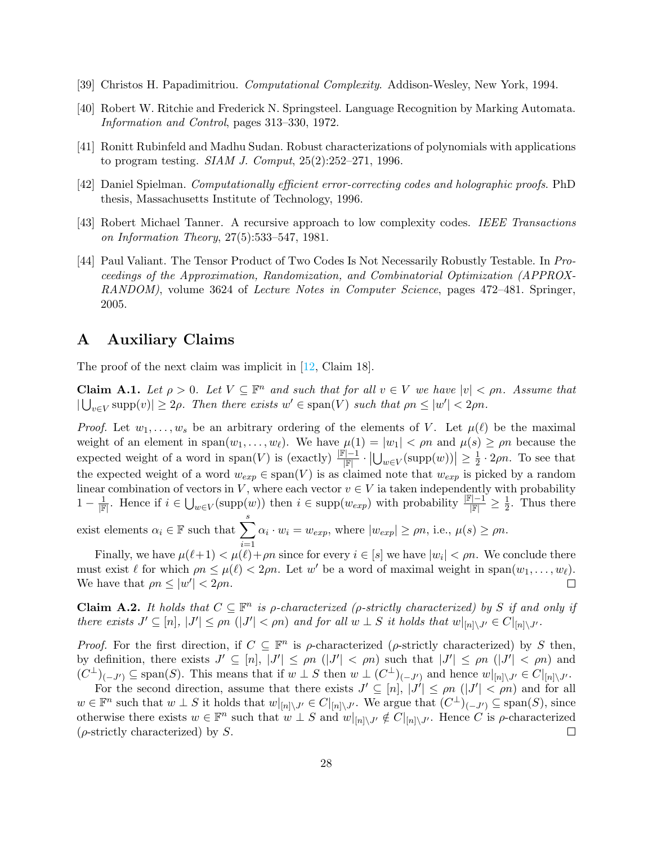- <span id="page-27-6"></span><span id="page-27-4"></span>[39] Christos H. Papadimitriou. Computational Complexity. Addison-Wesley, New York, 1994.
- <span id="page-27-2"></span>[40] Robert W. Ritchie and Frederick N. Springsteel. Language Recognition by Marking Automata. Information and Control, pages 313–330, 1972.
- <span id="page-27-1"></span>[41] Ronitt Rubinfeld and Madhu Sudan. Robust characterizations of polynomials with applications to program testing. SIAM J. Comput, 25(2):252–271, 1996.
- <span id="page-27-5"></span>[42] Daniel Spielman. Computationally efficient error-correcting codes and holographic proofs. PhD thesis, Massachusetts Institute of Technology, 1996.
- <span id="page-27-3"></span>[43] Robert Michael Tanner. A recursive approach to low complexity codes. IEEE Transactions on Information Theory, 27(5):533–547, 1981.
- [44] Paul Valiant. The Tensor Product of Two Codes Is Not Necessarily Robustly Testable. In Proceedings of the Approximation, Randomization, and Combinatorial Optimization (APPROX-RANDOM), volume 3624 of Lecture Notes in Computer Science, pages 472–481. Springer, 2005.

# <span id="page-27-0"></span>A Auxiliary Claims

The proof of the next claim was implicit in [\[12,](#page-25-11) Claim 18].

**Claim A.1.** Let  $\rho > 0$ . Let  $V \subseteq \mathbb{F}^n$  and such that for all  $v \in V$  we have  $|v| < \rho n$ . Assume that  $|\bigcup_{v\in V} \text{supp}(v)| \ge 2\rho$ . Then there exists  $w' \in \text{span}(V)$  such that  $\rho n \le |w'| < 2\rho n$ .

*Proof.* Let  $w_1, \ldots, w_s$  be an arbitrary ordering of the elements of V. Let  $\mu(\ell)$  be the maximal weight of an element in span $(w_1, \ldots, w_\ell)$ . We have  $\mu(1) = |w_1| < \rho n$  and  $\mu(s) \ge \rho n$  because the expected weight of a word in span(V) is  $(\text{exactly}) \frac{|\mathbb{F}|-1}{|\mathbb{F}|} \cdot |\bigcup_{w \in V} (\text{supp}(w))| \geq \frac{1}{2}$  $\frac{1}{2} \cdot 2\rho n$ . To see that the expected weight of a word  $w_{exp} \in span(V)$  is as claimed note that  $w_{exp}$  is picked by a random linear combination of vectors in V, where each vector  $v \in V$  ia taken independently with probability  $1-\frac{1}{\mathbb{F}}$ . Hence if  $i \in \bigcup_{w \in V}(\text{supp}(w))$  then  $i \in \text{supp}(w_{exp})$  with probability  $\frac{\mathbb{F}[-1]}{\mathbb{F}} \geq \frac{1}{2}$  $\frac{1}{2}$ . Thus there

exist elements  $\alpha_i \in \mathbb{F}$  such that  $\sum^s$  $i=1$  $\alpha_i \cdot w_i = w_{exp}$ , where  $|w_{exp}| \ge \rho n$ , i.e.,  $\mu(s) \ge \rho n$ .

Finally, we have  $\mu(\ell+1) < \mu(\ell) + \rho n$  since for every  $i \in [s]$  we have  $|w_i| < \rho n$ . We conclude there must exist  $\ell$  for which  $\rho n \leq \mu(\ell) < 2\rho n$ . Let w' be a word of maximal weight in span $(w_1, \ldots, w_\ell)$ . We have that  $\rho n \leq |w'| < 2\rho n$ .  $\Box$ 

<span id="page-27-7"></span>**Claim A.2.** It holds that  $C \subseteq \mathbb{F}^n$  is p-characterized (p-strictly characterized) by S if and only if there exists  $J' \subseteq [n]$ ,  $|J'| \le \rho n$   $(|J'| < \rho n)$  and for all  $w \perp S$  it holds that  $w|_{[n] \setminus J'} \in C|_{[n] \setminus J'}$ .

Proof. For the first direction, if  $C \subseteq \mathbb{F}^n$  is  $\rho$ -characterized ( $\rho$ -strictly characterized) by S then, by definition, there exists  $J' \subseteq [n]$ ,  $|J'| \le \rho n$  ( $|J'| < \rho n$ ) such that  $|J'| \le \rho n$  ( $|J'| < \rho n$ ) and  $(C^{\perp})_{(-J')} \subseteq \text{span}(S)$ . This means that if  $w \perp S$  then  $w \perp (C^{\perp})_{(-J')}$  and hence  $w|_{[n] \setminus J'} \in C|_{[n] \setminus J'}.$ 

For the second direction, assume that there exists  $J' \subseteq [n]$ ,  $|J'| \le \rho n$   $(|J'| < \rho n)$  and for all  $w \in \mathbb{F}^n$  such that  $w \perp S$  it holds that  $w|_{[n] \setminus J'} \in C|_{[n] \setminus J'}$ . We argue that  $(C^{\perp})_{(-J')} \subseteq \text{span}(S)$ , since otherwise there exists  $w \in \mathbb{F}^n$  such that  $w \perp S$  and  $w|_{[n] \setminus J'} \notin C|_{[n] \setminus J'}$ . Hence C is  $\rho$ -characterized  $(\rho\text{-strictly characterized})$  by S.  $\Box$